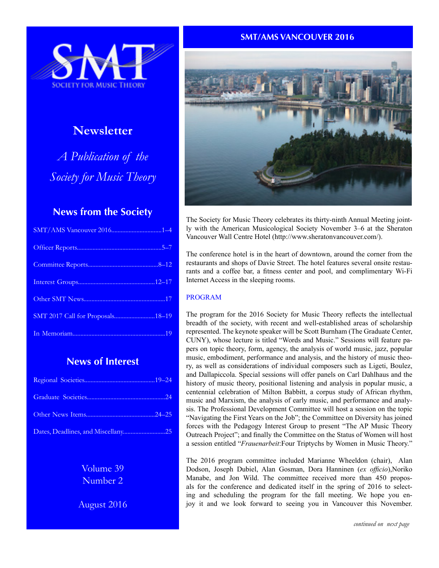

# **Newsletter**

*A Publication of the Society for Music Theory*

# **News from the Society**

| SMT 2017 Call for Proposals18-19 |  |
|----------------------------------|--|
|                                  |  |

# **News of Interest**

| Dates, Deadlines, and Miscellany25 |  |
|------------------------------------|--|

Volume 39 Number 2

August 2016

## **SMT/AMS VANCOUVER 2016**



The Society for Music Theory celebrates its thirty-ninth Annual Meeting jointly with the American Musicological Society November 3–6 at the Sheraton Vancouver Wall Centre Hotel (http://www.sheratonvancouver.com/).

The conference hotel is in the heart of downtown, around the corner from the restaurants and shops of Davie Street. The hotel features several onsite restaurants and a coffee bar, a fitness center and pool, and complimentary Wi-Fi Internet Access in the sleeping rooms.

## PROGRAM

The program for the 2016 Society for Music Theory reflects the intellectual breadth of the society, with recent and well-established areas of scholarship represented. The keynote speaker will be Scott Burnham (The Graduate Center, CUNY), whose lecture is titled "Words and Music." Sessions will feature papers on topic theory, form, agency, the analysis of world music, jazz, popular music, embodiment, performance and analysis, and the history of music theory, as well as considerations of individual composers such as Ligeti, Boulez, and Dallapiccola. Special sessions will offer panels on Carl Dahlhaus and the history of music theory, positional listening and analysis in popular music, a centennial celebration of Milton Babbitt, a corpus study of African rhythm, music and Marxism, the analysis of early music, and performance and analysis. The Professional Development Committee will host a session on the topic "Navigating the First Years on the Job"; the Committee on Diversity has joined forces with the Pedagogy Interest Group to present "The AP Music Theory Outreach Project"; and finally the Committee on the Status of Women will host a session entitled "*Frauenarbeit*:Four Triptychs by Women in Music Theory."

The 2016 program committee included Marianne Wheeldon (chair), Alan Dodson, Joseph Dubiel, Alan Gosman, Dora Hanninen (*ex officio*),Noriko Manabe, and Jon Wild. The committee received more than 450 proposals for the conference and dedicated itself in the spring of 2016 to selecting and scheduling the program for the fall meeting. We hope you enjoy it and we look forward to seeing you in Vancouver this November.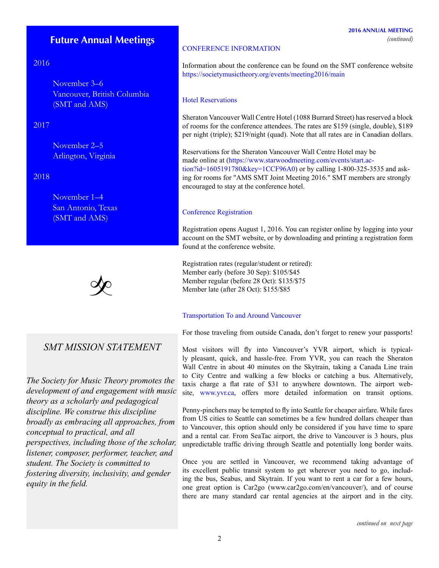#### **2016 ANNUAL MEETING** *(continued)*

# **Future Annual Meetings**

## 2016

November 3–6 Vancouver, British Columbia (SMT and AMS)

## 2017

November 2–5 Arlington, Virginia

## 2018

November 1–4 San Antonio, Texas (SMT and AMS)



# *SMT MISSION STATEMENT*

*The Society for Music Theory promotes the development of and engagement with music theory as a scholarly and pedagogical discipline. We construe this discipline broadly as embracing all approaches, from conceptual to practical, and all perspectives, including those of the scholar, listener, composer, performer, teacher, and student. The Society is committed to fostering diversity, inclusivity, and gender equity in the field.* 

## CONFERENCE INFORMATION

Information about the conference can be found on the SMT conference website <https://societymusictheory.org/events/meeting2016/main>

#### Hotel Reservations

Sheraton Vancouver Wall Centre Hotel (1088 Burrard Street) has reserved a block of rooms for the conference attendees. The rates are \$159 (single, double), \$189 per night (triple); \$219/night (quad). Note that all rates are in Canadian dollars.

Reservations for the Sheraton Vancouver Wall Centre Hotel may be made online at [\(https://www.starwoodmeeting.com/events/start.ac](https://www.starwoodmeeting.com/events/start.action?id=1605191780&key=1CCF96A0)[tion?id=1605191780&key=1CCF96A0\)](https://www.starwoodmeeting.com/events/start.action?id=1605191780&key=1CCF96A0) or by calling 1-800-325-3535 and asking for rooms for "AMS SMT Joint Meeting 2016." SMT members are strongly encouraged to stay at the conference hotel.

#### Conference Registration

Registration opens August 1, 2016. You can register online by logging into your account on the SMT website, or by downloading and printing a registration form found at the conference website.

Registration rates (regular/student or retired): Member early (before 30 Sep): \$105/\$45 Member regular (before 28 Oct): \$135/\$75 Member late (after 28 Oct): \$155/\$85

#### Transportation To and Around Vancouver

For those traveling from outside Canada, don't forget to renew your passports!

Most visitors will fly into Vancouver's YVR airport, which is typically pleasant, quick, and hassle-free. From YVR, you can reach the Sheraton Wall Centre in about 40 minutes on the Skytrain, taking a Canada Line train to City Centre and walking a few blocks or catching a bus. Alternatively, taxis charge a flat rate of \$31 to anywhere downtown. The airport website, [www.yvr.ca,](http://www.yvr.ca) offers more detailed information on transit options.

Penny-pinchers may be tempted to fly into Seattle for cheaper airfare. While fares from US cities to Seattle can sometimes be a few hundred dollars cheaper than to Vancouver, this option should only be considered if you have time to spare and a rental car. From SeaTac airport, the drive to Vancouver is 3 hours, plus unpredictable traffic driving through Seattle and potentially long border waits.

Once you are settled in Vancouver, we recommend taking advantage of its excellent public transit system to get wherever you need to go, including the bus, Seabus, and Skytrain. If you want to rent a car for a few hours, one great option is Car2go (www.car2go.com/en/vancouver/), and of course there are many standard car rental agencies at the airport and in the city.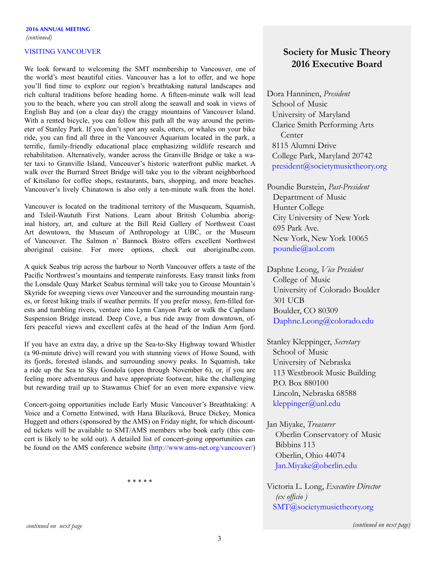#### VISITING VANCOUVER

We look forward to welcoming the SMT membership to Vancouver, one of the world's most beautiful cities. Vancouver has a lot to offer, and we hope you'll find time to explore our region's breathtaking natural landscapes and rich cultural traditions before heading home. A fifteen-minute walk will lead you to the beach, where you can stroll along the seawall and soak in views of English Bay and (on a clear day) the craggy mountains of Vancouver Island. With a rented bicycle, you can follow this path all the way around the perimeter of Stanley Park. If you don't spot any seals, otters, or whales on your bike ride, you can find all three in the Vancouver Aquarium located in the park, a terrific, family-friendly educational place emphasizing wildlife research and rehabilitation. Alternatively, wander across the Granville Bridge or take a water taxi to Granville Island, Vancouver's historic waterfront public market. A walk over the Burrard Street Bridge will take you to the vibrant neighborhood of Kitsilano for coffee shops, restaurants, bars, shopping, and more beaches. Vancouver's lively Chinatown is also only a ten-minute walk from the hotel.

Vancouver is located on the traditional territory of the Musqueam, Squamish, and Tsleil-Waututh First Nations. Learn about British Columbia aboriginal history, art, and culture at the Bill Reid Gallery of Northwest Coast Art downtown, the Museum of Anthropology at UBC, or the Museum of Vancouver. The Salmon n' Bannock Bistro offers excellent Northwest aboriginal cuisine. For more options, check out aboriginalbc.com.

A quick Seabus trip across the harbour to North Vancouver offers a taste of the Pacific Northwest's mountains and temperate rainforests. Easy transit links from the Lonsdale Quay Market Seabus terminal will take you to Grouse Mountain's Skyride for sweeping views over Vancouver and the surrounding mountain ranges, or forest hiking trails if weather permits. If you prefer mossy, fern-filled forests and tumbling rivers, venture into Lynn Canyon Park or walk the Capilano Suspension Bridge instead. Deep Cove, a bus ride away from downtown, offers peaceful views and excellent cafés at the head of the Indian Arm fjord.

If you have an extra day, a drive up the Sea-to-Sky Highway toward Whistler (a 90-minute drive) will reward you with stunning views of Howe Sound, with its fjords, forested islands, and surrounding snowy peaks. In Squamish, take a ride up the Sea to Sky Gondola (open through November 6), or, if you are feeling more adventurous and have appropriate footwear, hike the challenging but rewarding trail up to Stawamus Chief for an even more expansive view.

Concert-going opportunities include Early Music Vancouver's Breathtaking: A Voice and a Cornetto Entwined, with Hana Blazíková, Bruce Dickey, Monica Huggett and others (sponsored by the AMS) on Friday night, for which discounted tickets will be available to SMT/AMS members who book early (this concert is likely to be sold out). A detailed list of concert-going opportunities can be found on the AMS conference website ([http://www.ams-net.org/vancouver/\)](http://www.ams-net.org/vancouver/)

\* \* \* \* \*

# **Society for Music Theory 2016 Executive Board**

Dora Hanninen, *President* School of Music University of Maryland Clarice Smith Performing Arts **Center**  8115 Alumni Drive College Park, Maryland 20742 [president@societymusictheory.org](mailto:president%40societymusictheory.org%20?subject=)

Poundie Burstein, *Past-President* Department of Music Hunter College City University of New York 695 Park Ave. New York, New York 10065 [poundie@aol.com](mailto:%20poundie%40aol.com?subject=)

Daphne Leong, *Vice President* College of Music University of Colorado Boulder 301 UCB Boulder, CO 80309 [Daphne.Leong@colorado.edu](mailto:Daphne.Leong%40colorado.edu?subject=)

- Stanley Kleppinger, *Secretary* School of Music University of Nebraska 113 Westbrook Music Building P.O. Box 880100 Lincoln, Nebraska 68588 [kleppinger@unl.edu](mailto:kleppinger%40unl.edu?subject=)
- Jan Miyake, *Treasurer* Oberlin Conservatory of Music Bibbins 113 Oberlin, Ohio 44074 [Jan.Miyake@oberlin.edu](mailto:Jan.Miyake%40oberlin.edu?subject=)

Victoria L. Long, *Executive Director (ex officio )* [SMT@societymusictheory.org](http://SMT@societymusictheory.org)

*(continued on next page) continued on next page*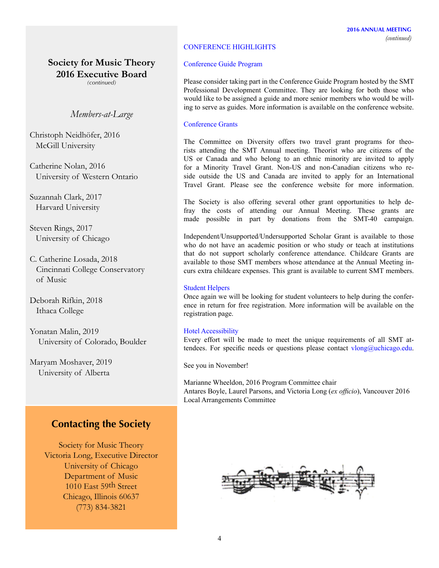# **Society for Music Theory 2016 Executive Board**

*(continued)*

## *Members-at-Large*

Christoph Neidhöfer, 2016 McGill University

Catherine Nolan, 2016 University of Western Ontario

Suzannah Clark, 2017 Harvard University

Steven Rings, 2017 University of Chicago

C. Catherine Losada, 2018 Cincinnati College Conservatory of Music

Deborah Rifkin, 2018 Ithaca College

Yonatan Malin, 2019 University of Colorado, Boulder

Maryam Moshaver, 2019 University of Alberta

# **Contacting the Society**

Society for Music Theory Victoria Long, Executive Director University of Chicago Department of Music 1010 East 59th Street Chicago, Illinois 60637 (773) 834-3821

## CONFERENCE HIGHLIGHTS

#### Conference Guide Program

Please consider taking part in the Conference Guide Program hosted by the SMT Professional Development Committee. They are looking for both those who would like to be assigned a guide and more senior members who would be willing to serve as guides. More information is available on the conference website.

#### Conference Grants

The Committee on Diversity offers two travel grant programs for theorists attending the SMT Annual meeting. Theorist who are citizens of the US or Canada and who belong to an ethnic minority are invited to apply for a Minority Travel Grant. Non-US and non-Canadian citizens who reside outside the US and Canada are invited to apply for an International Travel Grant. Please see the conference website for more information.

The Society is also offering several other grant opportunities to help defray the costs of attending our Annual Meeting. These grants are made possible in part by donations from the SMT-40 campaign.

Independent/Unsupported/Undersupported Scholar Grant is available to those who do not have an academic position or who study or teach at institutions that do not support scholarly conference attendance. Childcare Grants are available to those SMT members whose attendance at the Annual Meeting incurs extra childcare expenses. This grant is available to current SMT members.

#### Student Helpers

Once again we will be looking for student volunteers to help during the conference in return for free registration. More information will be available on the registration page.

#### Hotel Accessibility

Every effort will be made to meet the unique requirements of all SMT attendees. For specific needs or questions please contact  $vlong@u$ chicago.edu.

See you in November!

Marianne Wheeldon, 2016 Program Committee chair Antares Boyle, Laurel Parsons, and Victoria Long (*ex officio*), Vancouver 2016 Local Arrangements Committee

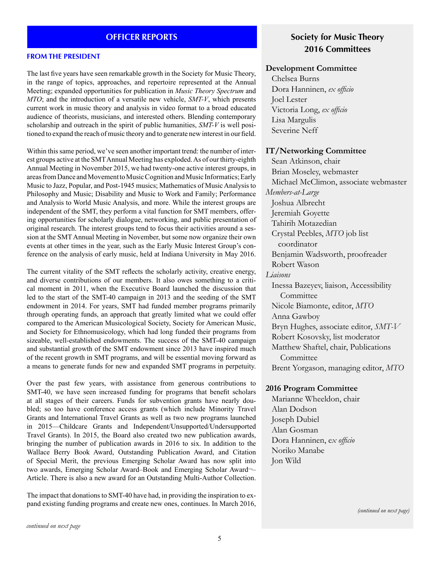## **OFFICER REPORTS**

#### **FROM THE PRESIDENT**

The last five years have seen remarkable growth in the Society for Music Theory, in the range of topics, approaches, and repertoire represented at the Annual Meeting; expanded opportunities for publication in *Music Theory Spectrum* and *MTO*; and the introduction of a versatile new vehicle, *SMT-V*, which presents current work in music theory and analysis in video format to a broad educated audience of theorists, musicians, and interested others. Blending contemporary scholarship and outreach in the spirit of public humanities, *SMT-V* is well positioned to expand the reach of music theory and to generate new interest in our field.

Within this same period, we've seen another important trend: the number of interest groups active at the SMT Annual Meeting has exploded. As of our thirty-eighth Annual Meeting in November 2015, we had twenty-one active interest groups, in areas from Dance and Movement to Music Cognition and Music Informatics; Early Music to Jazz, Popular, and Post-1945 musics; Mathematics of Music Analysis to Philosophy and Music; Disability and Music to Work and Family; Performance and Analysis to World Music Analysis, and more. While the interest groups are independent of the SMT, they perform a vital function for SMT members, offering opportunities for scholarly dialogue, networking, and public presentation of original research. The interest groups tend to focus their activities around a session at the SMT Annual Meeting in November, but some now organize their own events at other times in the year, such as the Early Music Interest Group's conference on the analysis of early music, held at Indiana University in May 2016.

The current vitality of the SMT reflects the scholarly activity, creative energy, and diverse contributions of our members. It also owes something to a critical moment in 2011, when the Executive Board launched the discussion that led to the start of the SMT-40 campaign in 2013 and the seeding of the SMT endowment in 2014. For years, SMT had funded member programs primarily through operating funds, an approach that greatly limited what we could offer compared to the American Musicological Society, Society for American Music, and Society for Ethnomusicology, which had long funded their programs from sizeable, well-established endowments. The success of the SMT-40 campaign and substantial growth of the SMT endowment since 2013 have inspired much of the recent growth in SMT programs, and will be essential moving forward as a means to generate funds for new and expanded SMT programs in perpetuity.

Over the past few years, with assistance from generous contributions to SMT-40, we have seen increased funding for programs that benefit scholars at all stages of their careers. Funds for subvention grants have nearly doubled; so too have conference access grants (which include Minority Travel Grants and International Travel Grants as well as two new programs launched in 2015—Childcare Grants and Independent/Unsupported/Undersupported Travel Grants). In 2015, the Board also created two new publication awards, bringing the number of publication awards in 2016 to six. In addition to the Wallace Berry Book Award, Outstanding Publication Award, and Citation of Special Merit, the previous Emerging Scholar Award has now split into two awards, Emerging Scholar Award–Book and Emerging Scholar Award¬– Article. There is also a new award for an Outstanding Multi-Author Collection.

The impact that donations to SMT-40 have had, in providing the inspiration to expand existing funding programs and create new ones, continues. In March 2016,

# **Society for Music Theory 2016 Committees**

#### **Development Committee**

Chelsea Burns Dora Hanninen, *ex officio* Joel Lester Victoria Long, *ex officio* Lisa Margulis Severine Neff

## **IT/Networking Committee**

Sean Atkinson, chair Brian Moseley, webmaster Michael McClimon, associate webmaster *Members-at-Large* Joshua Albrecht Jeremiah Goyette Tahirih Motazedian Crystal Peebles, *MTO* job list coordinator Benjamin Wadsworth, proofreader Robert Wason *Liaisons* Inessa Bazeyev, liaison, Accessibility **Committee** Nicole Biamonte, editor, *MTO* Anna Gawboy Bryn Hughes, associate editor, *SMT-V* Robert Kosovsky, list moderator Matthew Shaftel, chair, Publications **Committee** Brent Yorgason, managing editor, *MTO*

#### **2016 Program Committee**

Marianne Wheeldon, chair Alan Dodson Joseph Dubiel Alan Gosman Dora Hanninen, e*x officio*  Noriko Manabe Jon Wild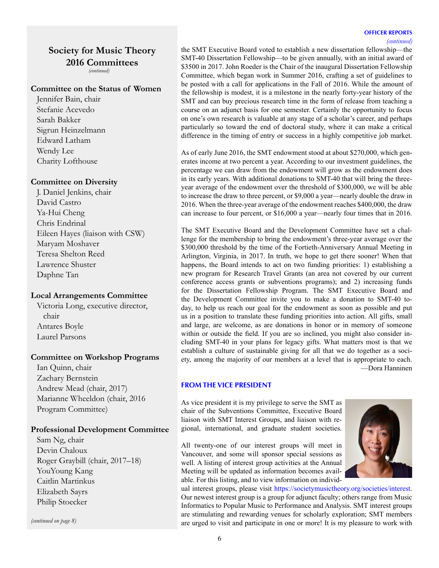#### **OFFICER REPORTS**

## *(continued)*

**Society for Music Theory 2016 Committees** *(continued)*

## **Committee on the Status of Women**

Jennifer Bain, chair Stefanie Acevedo Sarah Bakker Sigrun Heinzelmann Edward Latham Wendy Lee Charity Lofthouse

## **Committee on Diversity**

J. Daniel Jenkins, chair David Castro Ya-Hui Cheng Chris Endrinal Eileen Hayes (liaison with CSW) Maryam Moshaver Teresa Shelton Reed Lawrence Shuster Daphne Tan

## **Local Arrangements Committee**

Victoria Long, executive director, chair Antares Boyle Laurel Parsons

## **Committee on Workshop Programs**

Ian Quinn, chair Zachary Bernstein Andrew Mead (chair, 2017) Marianne Wheeldon (chair, 2016 Program Committee)

## **Professional Development Committee**

Sam Ng, chair Devin Chaloux Roger Graybill (chair, 2017–18) YouYoung Kang Caitlin Martinkus Elizabeth Sayrs Philip Stoecker

*(continued on page 8)*

the SMT Executive Board voted to establish a new dissertation fellowship—the SMT-40 Dissertation Fellowship—to be given annually, with an initial award of \$3500 in 2017. John Roeder is the Chair of the inaugural Dissertation Fellowship Committee, which began work in Summer 2016, crafting a set of guidelines to be posted with a call for applications in the Fall of 2016. While the amount of the fellowship is modest, it is a milestone in the nearly forty-year history of the SMT and can buy precious research time in the form of release from teaching a course on an adjunct basis for one semester. Certainly the opportunity to focus on one's own research is valuable at any stage of a scholar's career, and perhaps particularly so toward the end of doctoral study, where it can make a critical difference in the timing of entry or success in a highly competitive job market.

As of early June 2016, the SMT endowment stood at about \$270,000, which generates income at two percent a year. According to our investment guidelines, the percentage we can draw from the endowment will grow as the endowment does in its early years. With additional donations to SMT-40 that will bring the threeyear average of the endowment over the threshold of \$300,000, we will be able to increase the draw to three percent, or \$9,000 a year—nearly double the draw in 2016. When the three-year average of the endowment reaches \$400,000, the draw can increase to four percent, or \$16,000 a year—nearly four times that in 2016.

The SMT Executive Board and the Development Committee have set a challenge for the membership to bring the endowment's three-year average over the \$300,000 threshold by the time of the Fortieth-Anniversary Annual Meeting in Arlington, Virginia, in 2017. In truth, we hope to get there sooner! When that happens, the Board intends to act on two funding priorities: 1) establishing a new program for Research Travel Grants (an area not covered by our current conference access grants or subventions programs); and 2) increasing funds for the Dissertation Fellowship Program. The SMT Executive Board and the Development Committee invite you to make a donation to SMT-40 today, to help us reach our goal for the endowment as soon as possible and put us in a position to translate these funding priorities into action. All gifts, small and large, are welcome, as are donations in honor or in memory of someone within or outside the field. If you are so inclined, you might also consider including SMT-40 in your plans for legacy gifts. What matters most is that we establish a culture of sustainable giving for all that we do together as a society, among the majority of our members at a level that is appropriate to each. —Dora Hanninen

## **FROM THE VICE PRESIDENT**

As vice president it is my privilege to serve the SMT as chair of the Subventions Committee, Executive Board liaison with SMT Interest Groups, and liaison with regional, international, and graduate student societies.

All twenty-one of our interest groups will meet in Vancouver, and some will sponsor special sessions as well. A listing of interest group activities at the Annual Meeting will be updated as information becomes available. For this listing, and to view information on individ-



ual interest groups, please visit [https://societymusictheory.org/societies/interest.](https://societymusictheory.org/societies/interest) Our newest interest group is a group for adjunct faculty; others range from Music Informatics to Popular Music to Performance and Analysis. SMT interest groups are stimulating and rewarding venues for scholarly exploration; SMT members are urged to visit and participate in one or more! It is my pleasure to work with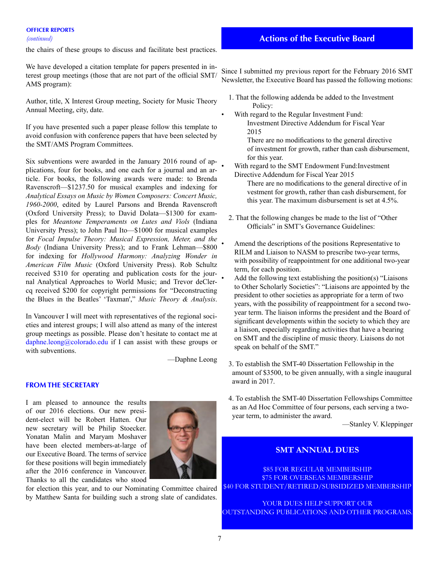#### **OFFICER REPORTS**

the chairs of these groups to discuss and facilitate best practices.

We have developed a citation template for papers presented in interest group meetings (those that are not part of the official SMT/ AMS program):

Author, title, X Interest Group meeting, Society for Music Theory Annual Meeting, city, date.

If you have presented such a paper please follow this template to avoid confusion with conference papers that have been selected by the SMT/AMS Program Committees.

Six subventions were awarded in the January 2016 round of applications, four for books, and one each for a journal and an article. For books, the following awards were made: to Brenda Ravenscroft—\$1237.50 for musical examples and indexing for *Analytical Essays on Music by Women Composers: Concert Music, 1960-2000*, edited by Laurel Parsons and Brenda Ravenscroft (Oxford University Press); to David Dolata—\$1300 for examples for *Meantone Temperaments on Lutes and Viols* (Indiana University Press); to John Paul Ito—\$1000 for musical examples for *Focal Impulse Theory: Musical Expression, Meter, and the Body* (Indiana University Press); and to Frank Lehman—\$800 for indexing for *Hollywood Harmony: Analyzing Wonder in American Film Music* (Oxford University Press). Rob Schultz received \$310 for operating and publication costs for the journal Analytical Approaches to World Music; and Trevor deClercq received \$200 for copyright permissions for "Deconstructing the Blues in the Beatles' 'Taxman'," *Music Theory & Analysis*.

In Vancouver I will meet with representatives of the regional societies and interest groups; I will also attend as many of the interest group meetings as possible. Please don't hesitate to contact me at [daphne.leong@colorado.edu](mailto:daphne.leong%40colorado.edu?subject=) if I can assist with these groups or with subventions.

—Daphne Leong

#### **FROM THE SECRETARY**

I am pleased to announce the results of our 2016 elections. Our new president-elect will be Robert Hatten. Our new secretary will be Philip Stoecker. Yonatan Malin and Maryam Moshaver have been elected members-at-large of our Executive Board. The terms of service for these positions will begin immediately after the 2016 conference in Vancouver. Thanks to all the candidates who stood



for election this year, and to our Nominating Committee chaired by Matthew Santa for building such a strong slate of candidates.

## *(continued)* **Actions of the Executive Board**

Since I submitted my previous report for the February 2016 SMT Newsletter, the Executive Board has passed the following motions:

- 1. That the following addenda be added to the Investment Policy:
- With regard to the Regular Investment Fund: Investment Directive Addendum for Fiscal Year 2015

There are no modifications to the general directive of investment for growth, rather than cash disbursement, for this year.

• With regard to the SMT Endowment Fund:Investment Directive Addendum for Fiscal Year 2015

There are no modifications to the general directive of in vestment for growth, rather than cash disbursement, for this year. The maximum disbursement is set at 4.5%.

- 2. That the following changes be made to the list of "Other Officials" in SMT's Governance Guidelines:
- Amend the descriptions of the positions Representative to RILM and Liaison to NASM to prescribe two-year terms, with possibility of reappointment for one additional two-year term, for each position.
- Add the following text establishing the position(s) "Liaisons to Other Scholarly Societies": "Liaisons are appointed by the president to other societies as appropriate for a term of two years, with the possibility of reappointment for a second twoyear term. The liaison informs the president and the Board of significant developments within the society to which they are a liaison, especially regarding activities that have a bearing on SMT and the discipline of music theory. Liaisons do not speak on behalf of the SMT."
- 3. To establish the SMT-40 Dissertation Fellowship in the amount of \$3500, to be given annually, with a single inaugural award in 2017.
- 4. To establish the SMT-40 Dissertation Fellowships Committee as an Ad Hoc Committee of four persons, each serving a two year term, to administer the award.

—Stanley V. Kleppinger

#### **SMT ANNUAL DUES**

\$85 FOR REGULAR MEMBERSHIP \$75 FOR OVERSEAS MEMBERSHIP \$40 FOR STUDENT/RETIRED/SUBSIDIZED MEMBERSHIP

YOUR DUES HELP SUPPORT OUR OUTSTANDING PUBLICATIONS AND OTHER PROGRAMS.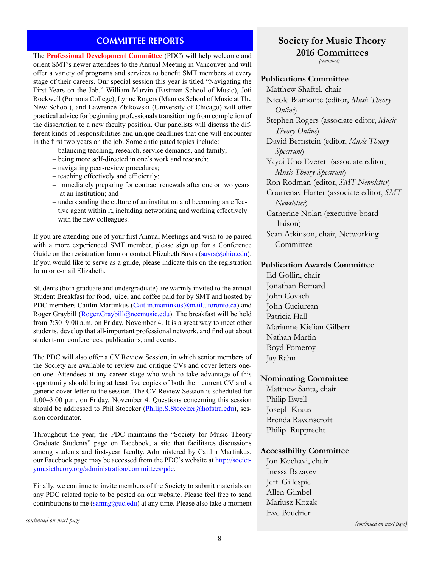The **Professional Development Committee** (PDC) will help welcome and orient SMT's newer attendees to the Annual Meeting in Vancouver and will offer a variety of programs and services to benefit SMT members at every stage of their careers. Our special session this year is titled "Navigating the First Years on the Job." William Marvin (Eastman School of Music), Joti Rockwell (Pomona College), Lynne Rogers (Mannes School of Music at The New School), and Lawrence Zbikowski (University of Chicago) will offer practical advice for beginning professionals transitioning from completion of the dissertation to a new faculty position. Our panelists will discuss the different kinds of responsibilities and unique deadlines that one will encounter in the first two years on the job. Some anticipated topics include:

- balancing teaching, research, service demands, and family;
- being more self-directed in one's work and research;
- navigating peer-review procedures;
- teaching effectively and efficiently;
- immediately preparing for contract renewals after one or two years at an institution; and
- understanding the culture of an institution and becoming an effec tive agent within it, including networking and working effectively with the new colleagues.

If you are attending one of your first Annual Meetings and wish to be paired with a more experienced SMT member, please sign up for a Conference Guide on the registration form or contact Elizabeth Sayrs  $(says@obio.edu)$ . If you would like to serve as a guide, please indicate this on the registration form or e-mail Elizabeth.

Students (both graduate and undergraduate) are warmly invited to the annual Student Breakfast for food, juice, and coffee paid for by SMT and hosted by PDC members Caitlin Martinkus ([Caitlin.martinkus@mail.utoronto.ca](mailto:Caitlin.martinkus%40mail.utoronto.ca?subject=)) and Roger Graybill (Roger.Graybill@necmusic.edu). The breakfast will be held from 7:30–9:00 a.m. on Friday, November 4. It is a great way to meet other students, develop that all-important professional network, and find out about student-run conferences, publications, and events.

The PDC will also offer a CV Review Session, in which senior members of the Society are available to review and critique CVs and cover letters oneon-one. Attendees at any career stage who wish to take advantage of this opportunity should bring at least five copies of both their current CV and a generic cover letter to the session. The CV Review Session is scheduled for 1:00–3:00 p.m. on Friday, November 4. Questions concerning this session should be addressed to Phil Stoecker (Philip.S.Stoecker@hofstra.edu), session coordinator.

Throughout the year, the PDC maintains the "Society for Music Theory Graduate Students" page on Facebook, a site that facilitates discussions among students and first-year faculty. Administered by Caitlin Martinkus, our Facebook page may be accessed from the PDC's website at [http://societ](http://societymusictheory.org/administration/committees/pdc)[ymusictheory.org/administration/committees/pdc.](http://societymusictheory.org/administration/committees/pdc)

Finally, we continue to invite members of the Society to submit materials on any PDC related topic to be posted on our website. Please feel free to send contributions to me  $(samng@uc.edu)$  at any time. Please also take a moment

*continued on next page*

## **Society for Music Theory 2016 Committees** *(continued)*

## **Publications Committee**

Matthew Shaftel, chair Nicole Biamonte (editor, *Music Theory Online*) Stephen Rogers (associate editor, *Music Theory Online*) David Bernstein (editor, *Music Theory Spectrum*) Yayoi Uno Everett (associate editor, *Music Theory Spectrum*) Ron Rodman (editor, *SMT Newsletter*) Courtenay Harter (associate editor, *SMT Newsletter*) Catherine Nolan (executive board liaison) Sean Atkinson, chair, Networking Committee

## **Publication Awards Committee**

Ed Gollin, chair Jonathan Bernard John Covach John Cuciurean Patricia Hall Marianne Kielian Gilbert Nathan Martin Boyd Pomeroy Jay Rahn

## **Nominating Committee**

Matthew Santa, chair Philip Ewell Joseph Kraus Brenda Ravenscroft Philip Rupprecht

#### **Accessibility Committee**

Jon Kochavi, chair Inessa Bazayev Jeff Gillespie Allen Gimbel Mariusz Kozak Ève Poudrier

*(continued on next page)*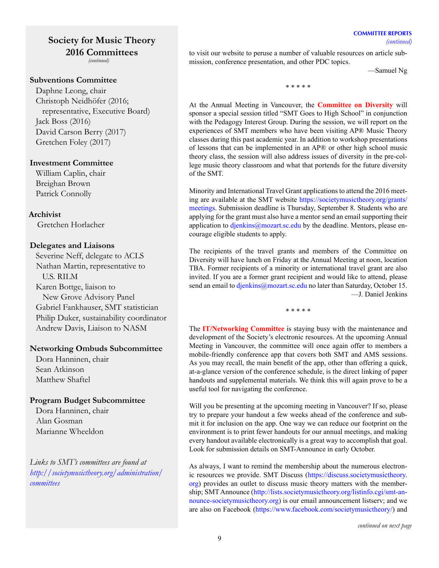#### *(continued)*

## **Society for Music Theory 2016 Committees** *(continued)*

## **Subventions Committee**

Daphne Leong, chair Christoph Neidhöfer (2016; representative, Executive Board) Jack Boss (2016) David Carson Berry (2017) Gretchen Foley (2017)

## **Investment Committee**

William Caplin, chair Breighan Brown Patrick Connolly

## **Archivist**

Gretchen Horlacher

## **Delegates and Liaisons**

Severine Neff, delegate to ACLS Nathan Martin, representative to U.S. RILM Karen Bottge, liaison to New Grove Advisory Panel Gabriel Fankhauser, SMT statistician Philip Duker, sustainability coordinator Andrew Davis, Liaison to NASM

## **Networking Ombuds Subcommittee**

Dora Hanninen, chair Sean Atkinson Matthew Shaftel

## **Program Budget Subcommittee**

Dora Hanninen, chair Alan Gosman Marianne Wheeldon

*Links to SMT's committees are found at [http://societymusictheory.org/administration/](Links to SMT’s committees are found at http://societymusictheory.org/ administration/committees.) [committees](Links to SMT’s committees are found at http://societymusictheory.org/ administration/committees.)*

to visit our website to peruse a number of valuable resources on article submission, conference presentation, and other PDC topics.

—Samuel Ng

\* \* \* \* \*

At the Annual Meeting in Vancouver, the **Committee on Diversity** will sponsor a special session titled "SMT Goes to High School" in conjunction with the Pedagogy Interest Group. During the session, we will report on the experiences of SMT members who have been visiting AP® Music Theory classes during this past academic year. In addition to workshop presentations of lessons that can be implemented in an AP® or other high school music theory class, the session will also address issues of diversity in the pre-college music theory classroom and what that portends for the future diversity of the SMT.

Minority and International Travel Grant applications to attend the 2016 meeting are available at the SMT website [https://societymusictheory.org/grants/](https://societymusictheory.org/grants/meetings) [meetings.](https://societymusictheory.org/grants/meetings) Submission deadline is Thursday, September 8. Students who are applying for the grant must also have a mentor send an email supporting their application to  $d$ jenkins@mozart.sc.edu by the deadline. Mentors, please encourage eligible students to apply.

The recipients of the travel grants and members of the Committee on Diversity will have lunch on Friday at the Annual Meeting at noon, location TBA. Former recipients of a minority or international travel grant are also invited. If you are a former grant recipient and would like to attend, please send an email to [djenkins@mozart.sc.edu](mailto:djenkins%40mozart.sc.edu?subject=) no later than Saturday, October 15. —J. Daniel Jenkins

\* \* \* \* \*

The **IT/Networking Committee** is staying busy with the maintenance and development of the Society's electronic resources. At the upcoming Annual Meeting in Vancouver, the committee will once again offer to members a mobile-friendly conference app that covers both SMT and AMS sessions. As you may recall, the main benefit of the app, other than offering a quick, at-a-glance version of the conference schedule, is the direct linking of paper handouts and supplemental materials. We think this will again prove to be a useful tool for navigating the conference.

Will you be presenting at the upcoming meeting in Vancouver? If so, please try to prepare your handout a few weeks ahead of the conference and submit it for inclusion on the app. One way we can reduce our footprint on the environment is to print fewer handouts for our annual meetings, and making every handout available electronically is a great way to accomplish that goal. Look for submission details on SMT-Announce in early October.

As always, I want to remind the membership about the numerous electronic resources we provide. SMT Discuss [\(https://discuss.societymusictheory.](https://discuss.societymusictheory.org) [org](https://discuss.societymusictheory.org)) provides an outlet to discuss music theory matters with the membership; SMT Announce ([http://lists.societymusictheory.org/listinfo.cgi/smt-an](http://lists.societymusictheory.org/listinfo.cgi/smt-announce-societymusictheory.org)[nounce-societymusictheory.org](http://lists.societymusictheory.org/listinfo.cgi/smt-announce-societymusictheory.org)) is our email announcement listserv; and we are also on Facebook (<https://www.facebook.com/societymusictheory/>) and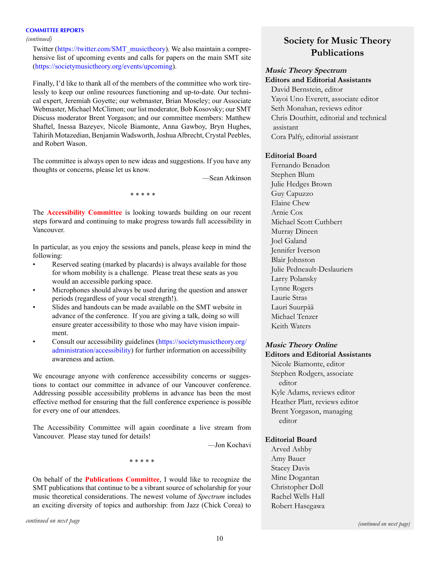*(continued)*

Twitter [\(https://twitter.com/SMT\\_musictheory\)](https://twitter.com/SMT_musictheory). We also maintain a comprehensive list of upcoming events and calls for papers on the main SMT site [\(https://societymusictheory.org/events/upcoming\)](https://societymusictheory.org/events/upcoming).

Finally, I'd like to thank all of the members of the committee who work tirelessly to keep our online resources functioning and up-to-date. Our technical expert, Jeremiah Goyette; our webmaster, Brian Moseley; our Associate Webmaster, Michael McClimon; our list moderator, Bob Kosovsky; our SMT Discuss moderator Brent Yorgason; and our committee members: Matthew Shaftel, Inessa Bazeyev, Nicole Biamonte, Anna Gawboy, Bryn Hughes, Tahirih Motazedian, Benjamin Wadsworth, Joshua Albrecht, Crystal Peebles, and Robert Wason.

The committee is always open to new ideas and suggestions. If you have any thoughts or concerns, please let us know.

—Sean Atkinson

\* \* \* \* \*

The **Accessibility Committee** is looking towards building on our recent steps forward and continuing to make progress towards full accessibility in Vancouver.

In particular, as you enjoy the sessions and panels, please keep in mind the following:

- Reserved seating (marked by placards) is always available for those for whom mobility is a challenge. Please treat these seats as you would an accessible parking space.
- Microphones should always be used during the question and answer periods (regardless of your vocal strength!).
- Slides and handouts can be made available on the SMT website in advance of the conference. If you are giving a talk, doing so will ensure greater accessibility to those who may have vision impairment.
- Consult our accessibility guidelines [\(https://societymusictheory.org/](https://societymusictheory.org/  administration/accessibility) [administration/accessibility\)](https://societymusictheory.org/  administration/accessibility) for further information on accessibility awareness and action.

We encourage anyone with conference accessibility concerns or suggestions to contact our committee in advance of our Vancouver conference. Addressing possible accessibility problems in advance has been the most effective method for ensuring that the full conference experience is possible for every one of our attendees.

The Accessibility Committee will again coordinate a live stream from Vancouver. Please stay tuned for details!

—Jon Kochavi

\* \* \* \* \*

On behalf of the **Publications Committee**, I would like to recognize the SMT publications that continue to be a vibrant source of scholarship for your music theoretical considerations. The newest volume of *Spectrum* includes an exciting diversity of topics and authorship: from Jazz (Chick Corea) to

# **Society for Music Theory Publications**

#### **Music Theory Spectrum Editors and Editorial Assistants**

David Bernstein, editor Yayoi Uno Everett, associate editor Seth Monahan, reviews editor Chris Douthitt, editorial and technical assistant Cora Palfy, editorial assistant

#### **Editorial Board**

Fernando Benadon Stephen Blum Julie Hedges Brown Guy Capuzzo Elaine Chew Arnie Cox Michael Scott Cuthbert Murray Dineen Joel Galand Jennifer Iverson Blair Johnston Julie Pedneault-Deslauriers Larry Polansky Lynne Rogers Laurie Stras Lauri Suurpää Michael Tenzer Keith Waters

#### **Music Theory Online Editors and Editorial Assistants**

Nicole Biamonte, editor Stephen Rodgers, associate editor Kyle Adams, reviews editor Heather Platt, reviews editor Brent Yorgason, managing editor

#### **Editorial Board**

Arved Ashby Amy Bauer Stacey Davis Mine Dogantan Christopher Doll Rachel Wells Hall Robert Hasegawa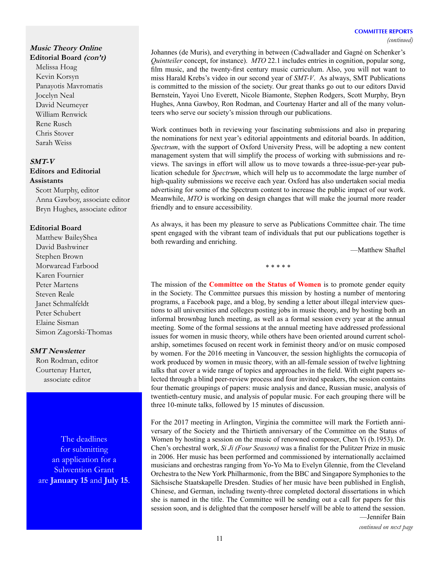## *(continued)*

**Music Theory Online** 

## **Editorial Board (con't)**

Melissa Hoag Kevin Korsyn Panayotis Mavromatis Jocelyn Neal David Neumeyer William Renwick Rene Rusch Chris Stover Sarah Weiss

#### **SMT-V**

# **Editors and Editorial**

## **Assistants**

Scott Murphy, editor Anna Gawboy, associate editor Bryn Hughes, associate editor

#### **Editorial Board**

Matthew BaileyShea David Bashwiner Stephen Brown Morwaread Farbood Karen Fournier Peter Martens Steven Reale Janet Schmalfeldt Peter Schubert Elaine Sisman Simon Zagorski-Thomas

#### **SMT Newsletter**

Ron Rodman, editor Courtenay Harter, associate editor

The deadlines for submitting an application for a Subvention Grant are **January 15** and **July 15**. Johannes (de Muris), and everything in between (Cadwallader and Gagné on Schenker's *Quintteiler* concept, for instance). *MTO* 22.1 includes entries in cognition, popular song, film music, and the twenty-first century music curriculum. Also, you will not want to miss Harald Krebs's video in our second year of *SMT-V*. As always, SMT Publications is committed to the mission of the society. Our great thanks go out to our editors David Bernstein, Yayoi Uno Everett, Nicole Biamonte, Stephen Rodgers, Scott Murphy, Bryn Hughes, Anna Gawboy, Ron Rodman, and Courtenay Harter and all of the many volunteers who serve our society's mission through our publications.

Work continues both in reviewing your fascinating submissions and also in preparing the nominations for next year's editorial appointments and editorial boards. In addition, *Spectrum*, with the support of Oxford University Press, will be adopting a new content management system that will simplify the process of working with submissions and reviews. The savings in effort will allow us to move towards a three-issue-per-year publication schedule for *Spectrum*, which will help us to accommodate the large number of high-quality submissions we receive each year. Oxford has also undertaken social media advertising for some of the Spectrum content to increase the public impact of our work. Meanwhile, *MTO* is working on design changes that will make the journal more reader friendly and to ensure accessibility.

As always, it has been my pleasure to serve as Publications Committee chair. The time spent engaged with the vibrant team of individuals that put our publications together is both rewarding and enriching.

—Matthew Shaftel

\* \* \* \* \*

The mission of the **Committee on the Status of Women** is to promote gender equity in the Society. The Committee pursues this mission by hosting a number of mentoring programs, a Facebook page, and a blog, by sending a letter about illegal interview questions to all universities and colleges posting jobs in music theory, and by hosting both an informal brownbag lunch meeting, as well as a formal session every year at the annual meeting. Some of the formal sessions at the annual meeting have addressed professional issues for women in music theory, while others have been oriented around current scholarship, sometimes focused on recent work in feminist theory and/or on music composed by women. For the 2016 meeting in Vancouver, the session highlights the cornucopia of work produced by women in music theory, with an all-female session of twelve lightning talks that cover a wide range of topics and approaches in the field. With eight papers selected through a blind peer-review process and four invited speakers, the session contains four thematic groupings of papers: music analysis and dance, Russian music, analysis of twentieth-century music, and analysis of popular music. For each grouping there will be three 10-minute talks, followed by 15 minutes of discussion.

For the 2017 meeting in Arlington, Virginia the committee will mark the Fortieth anniversary of the Society and the Thirtieth anniversary of the Committee on the Status of Women by hosting a session on the music of renowned composer, Chen Yi (b.1953). Dr. Chen's orchestral work, *Si Ji (Four Seasons)* was a finalist for the Pulitzer Prize in music in 2006. Her music has been performed and commissioned by internationally acclaimed musicians and orchestras ranging from Yo-Yo Ma to Evelyn Glennie, from the Cleveland Orchestra to the New York Philharmonic, from the BBC and Singapore Symphonies to the Sächsische Staatskapelle Dresden. Studies of her music have been published in English, Chinese, and German, including twenty-three completed doctoral dissertations in which she is named in the title. The Committee will be sending out a call for papers for this session soon, and is delighted that the composer herself will be able to attend the session.

—Jennifer Bain

*continued on next page*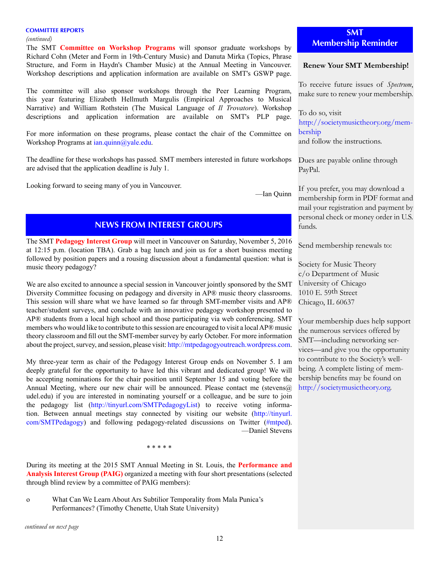*(continued)*

The SMT **Committee on Workshop Programs** will sponsor graduate workshops by Richard Cohn (Meter and Form in 19th-Century Music) and Danuta Mirka (Topics, Phrase Structure, and Form in Haydn's Chamber Music) at the Annual Meeting in Vancouver. Workshop descriptions and application information are available on SMT's GSWP page.

The committee will also sponsor workshops through the Peer Learning Program, this year featuring Elizabeth Hellmuth Margulis (Empirical Approaches to Musical Narrative) and William Rothstein (The Musical Language of *Il Trovatore*). Workshop descriptions and application information are available on SMT's PLP page.

For more information on these programs, please contact the chair of the Committee on Workshop Programs at [ian.quinn@yale.edu](mailto:ian.quinn%40yale.edu?subject=).

The deadline for these workshops has passed. SMT members interested in future workshops are advised that the application deadline is July 1.

Looking forward to seeing many of you in Vancouver.

—Ian Quinn

# **NEWS FROM INTEREST GROUPS**

The SMT **Pedagogy Interest Group** will meet in Vancouver on Saturday, November 5, 2016 at 12:15 p.m. (location TBA). Grab a bag lunch and join us for a short business meeting followed by position papers and a rousing discussion about a fundamental question: what is music theory pedagogy?

We are also excited to announce a special session in Vancouver jointly sponsored by the SMT Diversity Committee focusing on pedagogy and diversity in AP® music theory classrooms. This session will share what we have learned so far through SMT-member visits and AP® teacher/student surveys, and conclude with an innovative pedagogy workshop presented to AP® students from a local high school and those participating via web conferencing. SMT members who would like to contribute to this session are encouraged to visit a local AP® music theory classroom and fill out the SMT-member survey by early October. For more information about the project, survey, and session, please visit:<http://mtpedagogyoutreach.wordpress.com>.

My three-year term as chair of the Pedagogy Interest Group ends on November 5. I am deeply grateful for the opportunity to have led this vibrant and dedicated group! We will be accepting nominations for the chair position until September 15 and voting before the Annual Meeting, where our new chair will be announced. Please contact me (stevens $@$ ) udel.edu) if you are interested in nominating yourself or a colleague, and be sure to join the pedagogy list ([http://tinyurl.com/SMTPedagogyList\)](http://tinyurl.com/SMTPedagogyList) to receive voting information. Between annual meetings stay connected by visiting our website [\(http://tinyurl.](http://tinyurl.com/SMTPedagogy) [com/SMTPedagogy\)](http://tinyurl.com/SMTPedagogy) and following pedagogy-related discussions on Twitter (#mtped). —Daniel Stevens

\* \* \* \* \*

During its meeting at the 2015 SMT Annual Meeting in St. Louis, the **Performance and Analysis Interest Group (PAIG)** organized a meeting with four short presentations (selected through blind review by a committee of PAIG members):

o What Can We Learn About Ars Subtilior Temporality from Mala Punica's Performances? (Timothy Chenette, Utah State University)

## **SMT Membership Reminder**

#### **Renew Your SMT Membership!**

To receive future issues of *Spectrum*, make sure to renew your membership.

To do so, visit [http://societymusictheory.org/mem](http://societymusictheory.org/membership)[bership](http://societymusictheory.org/membership) and follow the instructions.

Dues are payable online through PayPal.

If you prefer, you may download a membership form in PDF format and mail your registration and payment by personal check or money order in U.S. funds.

Send membership renewals to:

Society for Music Theory c/o Department of Music University of Chicago 1010 E. 59th Street Chicago, IL 60637

Your membership dues help support the numerous services offered by SMT—including networking services—and give you the opportunity to contribute to the Society's wellbeing. A complete listing of membership benefits may be found on <http://societymusictheory.org>.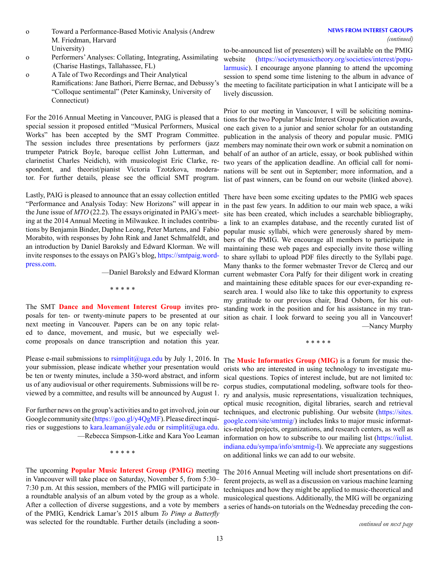- o Toward a Performance-Based Motivic Analysis (Andrew M. Friedman, Harvard University)
- o Performers' Analyses: Collating, Integrating, Assimilating (Charise Hastings, Tallahassee, FL)
- o A Tale of Two Recordings and Their Analytical Ramifications: Jane Bathori, Pierre Bernac, and Debussy's "Colloque sentimental" (Peter Kaminsky, University of Connecticut)

For the 2016 Annual Meeting in Vancouver, PAIG is pleased that a special session it proposed entitled "Musical Performers, Musical Works" has been accepted by the SMT Program Committee. The session includes three presentations by performers (jazz trumpeter Patrick Boyle, baroque cellist John Lutterman, and clarinetist Charles Neidich), with musicologist Eric Clarke, respondent, and theorist/pianist Victoria Tzotzkova, moderator. For further details, please see the official SMT program.

Lastly, PAIG is pleased to announce that an essay collection entitled "Performance and Analysis Today: New Horizons" will appear in the June issue of *MTO* (22.2). The essays originated in PAIG's meeting at the 2014 Annual Meeting in Milwaukee. It includes contributions by Benjamin Binder, Daphne Leong, Peter Martens, and Fabio Morabito, with responses by John Rink and Janet Schmalfeldt, and an introduction by Daniel Baroksly and Edward Klorman. We will invite responses to the essays on PAIG's blog, [https://smtpaig.word](https://smtpaig.wordpress.com)[press.com](https://smtpaig.wordpress.com).

—Daniel Baroksly and Edward Klorman

\* \* \* \* \*

The SMT **Dance and Movement Interest Group** invites proposals for ten- or twenty-minute papers to be presented at our next meeting in Vancouver. Papers can be on any topic related to dance, movement, and music, but we especially welcome proposals on dance transcription and notation this year.

Please e-mail submissions to [rsimplit@uga.edu](mailto:rsimplit%40uga.edu?subject=) by July 1, 2016. In The **Music Informatics Group (MIG)** is a forum for music theyour submission, please indicate whether your presentation would be ten or twenty minutes, include a 350-word abstract, and inform us of any audiovisual or other requirements. Submissions will be reviewed by a committee, and results will be announced by August 1.

For further news on the group's activities and to get involved, join our Google community site (<https://goo.gl/y4QgMF>). Please direct inquiries or suggestions to [kara.leaman@yale.edu](mailto:kara.leaman%40yale.edu?subject=) or rsimplit@uga.edu. —Rebecca Simpson-Litke and Kara Yoo Leaman

\* \* \* \* \*

The upcoming **Popular Music Interest Group (PMIG)** meeting The 2016 Annual Meeting will include short presentations on difin Vancouver will take place on Saturday, November 5, from 5:30– 7:30 p.m. At this session, members of the PMIG will participate in a roundtable analysis of an album voted by the group as a whole. After a collection of diverse suggestions, and a vote by members of the PMIG, Kendrick Lamar's 2015 album *To Pimp a Butterfly* was selected for the roundtable. Further details (including a soon-

to-be-announced list of presenters) will be available on the PMIG website ([https://societymusictheory.org/societies/interest/popu](https://societymusictheory.org/societies/interest/popularmusic)[larmusic](https://societymusictheory.org/societies/interest/popularmusic)). I encourage anyone planning to attend the upcoming session to spend some time listening to the album in advance of the meeting to facilitate participation in what I anticipate will be a lively discussion.

Prior to our meeting in Vancouver, I will be soliciting nominations for the two Popular Music Interest Group publication awards, one each given to a junior and senior scholar for an outstanding publication in the analysis of theory and popular music. PMIG members may nominate their own work or submit a nomination on behalf of an author of an article, essay, or book published within two years of the application deadline. An official call for nominations will be sent out in September; more information, and a list of past winners, can be found on our website (linked above).

There have been some exciting updates to the PMIG web spaces in the past few years. In addition to our main web space, a wiki site has been created, which includes a searchable bibliography, a link to an examples database, and the recently curated list of popular music syllabi, which were generously shared by members of the PMIG. We encourage all members to participate in maintaining these web pages and especially invite those willing to share syllabi to upload PDF files directly to the Syllabi page. Many thanks to the former webmaster Trevor de Clercq and our current webmaster Cora Palfy for their diligent work in creating and maintaining these editable spaces for our ever-expanding research area. I would also like to take this opportunity to express my gratitude to our previous chair, Brad Osborn, for his outstanding work in the position and for his assistance in my transition as chair. I look forward to seeing you all in Vancouver! —Nancy Murphy

\* \* \* \* \*

orists who are interested in using technology to investigate musical questions. Topics of interest include, but are not limited to: corpus studies, computational modeling, software tools for theory and analysis, music representations, visualization techniques, optical music recognition, digital libraries, search and retrieval techniques, and electronic publishing. Our website ([https://sites.](https://sites.google.com/site/smtmig/) [google.com/site/smtmig/](https://sites.google.com/site/smtmig/)) includes links to major music informatics-related projects, organizations, and research centers, as well as information on how to subscribe to our mailing list ([https://iulist.](https://iulist.indiana.edu/sympa/info/smtmig-l) [indiana.edu/sympa/info/smtmig-l](https://iulist.indiana.edu/sympa/info/smtmig-l)). We appreciate any suggestions on additional links we can add to our website.

ferent projects, as well as a discussion on various machine learning techniques and how they might be applied to music-theoretical and musicological questions. Additionally, the MIG will be organizing a series of hands-on tutorials on the Wednesday preceding the con-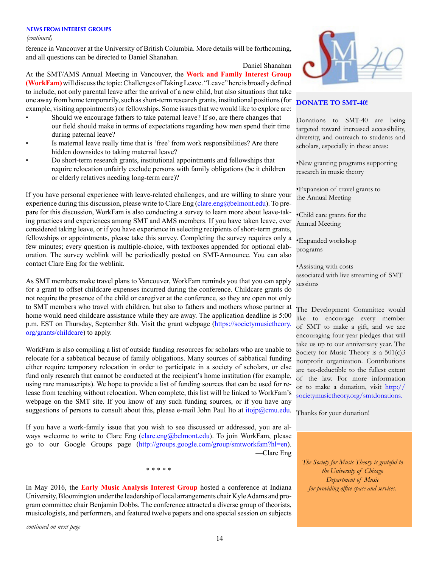*(continued)*

ference in Vancouver at the University of British Columbia. More details will be forthcoming, and all questions can be directed to Daniel Shanahan.

—Daniel Shanahan At the SMT/AMS Annual Meeting in Vancouver, the **Work and Family Interest Group (WorkFam)** will discuss the topic: Challenges of Taking Leave. "Leave" here is broadly defined to include, not only parental leave after the arrival of a new child, but also situations that take one away from home temporarily, such as short-term research grants, institutional positions (for example, visiting appointments) or fellowships. Some issues that we would like to explore are:

- Should we encourage fathers to take paternal leave? If so, are there changes that our field should make in terms of expectations regarding how men spend their time during paternal leave?
- Is maternal leave really time that is 'free' from work responsibilities? Are there hidden downsides to taking maternal leave?
- Do short-term research grants, institutional appointments and fellowships that require relocation unfairly exclude persons with family obligations (be it children or elderly relatives needing long-term care)?

If you have personal experience with leave-related challenges, and are willing to share your experience during this discussion, please write to Clare Eng ([clare.eng@belmont.edu\)](mailto:clare.eng%40belmont.edu?subject=). To prepare for this discussion, WorkFam is also conducting a survey to learn more about leave-taking practices and experiences among SMT and AMS members. If you have taken leave, ever considered taking leave, or if you have experience in selecting recipients of short-term grants, fellowships or appointments, please take this survey. Completing the survey requires only a few minutes; every question is multiple-choice, with textboxes appended for optional elaboration. The survey weblink will be periodically posted on SMT-Announce. You can also contact Clare Eng for the weblink.

As SMT members make travel plans to Vancouver, WorkFam reminds you that you can apply for a grant to offset childcare expenses incurred during the conference. Childcare grants do not require the presence of the child or caregiver at the conference, so they are open not only to SMT members who travel with children, but also to fathers and mothers whose partner at home would need childcare assistance while they are away. The application deadline is 5:00 p.m. EST on Thursday, September 8th. Visit the grant webpage ([https://societymusictheory.](https://societymusictheory.org/grants/childcare) [org/grants/childcare\)](https://societymusictheory.org/grants/childcare) to apply.

WorkFam is also compiling a list of outside funding resources for scholars who are unable to relocate for a sabbatical because of family obligations. Many sources of sabbatical funding either require temporary relocation in order to participate in a society of scholars, or else fund only research that cannot be conducted at the recipient's home institution (for example, using rare manuscripts). We hope to provide a list of funding sources that can be used for release from teaching without relocation. When complete, this list will be linked to WorkFam's webpage on the SMT site. If you know of any such funding sources, or if you have any suggestions of persons to consult about this, please e-mail John Paul Ito at [itojp@cmu.edu](mailto:itojp%40cmu.edu?subject=).

If you have a work-family issue that you wish to see discussed or addressed, you are always welcome to write to Clare Eng (clare.eng@belmont.edu). To join WorkFam, please go to our Google Groups page ([http://groups.google.com/group/smtworkfam?hl=en\)](http://groups.google.com/group/smtworkfam?hl=en). —Clare Eng

\* \* \* \* \*

In May 2016, the **Early Music Analysis Interest Group** hosted a conference at Indiana University, Bloomington under the leadership of local arrangements chair Kyle Adams and program committee chair Benjamin Dobbs. The conference attracted a diverse group of theorists, musicologists, and performers, and featured twelve papers and one special session on subjects

*continued on next page*



## **DONATE TO SMT-40!**

Donations to SMT-40 are being targeted toward increased accessibility, diversity, and outreach to students and scholars, especially in these areas:

•New granting programs supporting research in music theory

•Expansion of travel grants to the Annual Meeting

•Child care grants for the Annual Meeting

•Expanded workshop programs

•Assisting with costs associated with live streaming of SMT sessions

The Development Committee would like to encourage every member of SMT to make a gift, and we are encouraging four-year pledges that will take us up to our anniversary year. The Society for Music Theory is a 501(c)3 nonprofit organization. Contributions are tax-deductible to the fullest extent of the law. For more information or to make a donation, visit [http://](http://societymusictheory.org/smtdonations) [societymusictheory.org/smtdonations](http://societymusictheory.org/smtdonations).

Thanks for your donation!

*The Society for Music Theory is grateful to the University of Chicago Department of Music for providing office space and services.*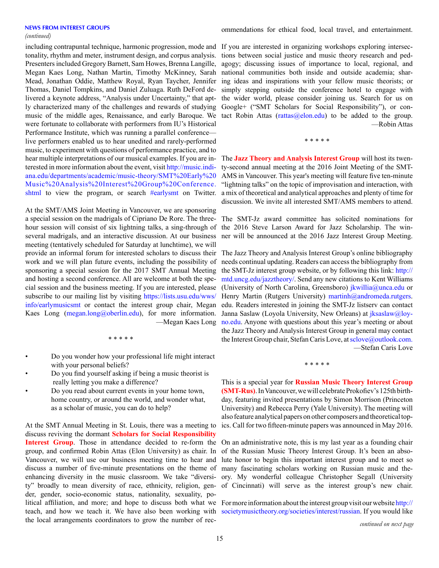#### *(continued)*

were fortunate to collaborate with performers from IU's Historical Performance Institute, which was running a parallel conference live performers enabled us to hear unedited and rarely-performed music, to experiment with questions of performance practice, and to hear multiple interpretations of our musical examples. If you are interested in more information about the event, visit [http://music.indi](http://music.indiana.edu/departments/academic/music-theory/SMT%20Early%20Music%20Analysis%20Interest)[ana.edu/departments/academic/music-theory/SMT%20Early%20](http://music.indiana.edu/departments/academic/music-theory/SMT%20Early%20Music%20Analysis%20Interest) [Music%20Analysis%20Interest%20Group%20Conference.](http://music.indiana.edu/departments/academic/music-theory/SMT%20Early%20Music%20Analysis%20Interest) [shtml](http://music.indiana.edu/departments/academic/music-theory/SMT%20Early%20Music%20Analysis%20Interest) to view the program, or search #earlysmt on Twitter.

At the SMT/AMS Joint Meeting in Vancouver, we are sponsoring a special session on the madrigals of Cipriano De Rore. The threehour session will consist of six lightning talks, a sing-through of several madrigals, and an interactive discussion. At our business meeting (tentatively scheduled for Saturday at lunchtime), we will provide an informal forum for interested scholars to discuss their work and we will plan future events, including the possibility of sponsoring a special session for the 2017 SMT Annual Meeting and hosting a second conference. All are welcome at both the special session and the business meeting. If you are interested, please subscribe to our mailing list by visiting [https://lists.usu.edu/wws/](https://lists.usu.edu/wws/info/earlymusicsmt) [info/earlymusicsmt](https://lists.usu.edu/wws/info/earlymusicsmt) or contact the interest group chair, Megan Kaes Long ([megan.long@oberlin.edu](mailto:megan.long%40oberlin.edu?subject=)), for more information.

\* \* \* \* \*

- Do you wonder how your professional life might interact with your personal beliefs?
- Do you find yourself asking if being a music theorist is really letting you make a difference?
- Do you read about current events in your home town, home country, or around the world, and wonder what, as a scholar of music, you can do to help?

At the SMT Annual Meeting in St. Louis, there was a meeting to discuss reviving the dormant **Scholars for Social Responsibility Interest Group**. Those in attendance decided to re-form the group, and confirmed Robin Attas (Elon University) as chair. In Vancouver, we will use our business meeting time to hear and ty" broadly to mean diversity of race, ethnicity, religion, gender, gender, socio-economic status, nationality, sexuality, political affiliation, and more; and hope to discuss both what we Formore information about the interest group visit our website [http://](http://societymusictheory.org/societies/interest/russian) teach, and how we teach it. We have also been working with [societymusictheory.org/societies/interest/russian](http://societymusictheory.org/societies/interest/russian). If you would like the local arrangements coordinators to grow the number of rec- *continued on next page*

ommendations for ethical food, local travel, and entertainment.

including contrapuntal technique, harmonic progression, mode and If you are interested in organizing workshops exploring intersectonality, rhythm and meter, instrument design, and corpus analysis. tions between social justice and music theory research and ped-Presenters included Gregory Barnett, Sam Howes, Brenna Langille, agogy; discussing issues of importance to local, regional, and Megan Kaes Long, Nathan Martin, Timothy McKinney, Sarah national communities both inside and outside academia; shar-Mead, Jonathan Oddie, Matthew Royal, Ryan Taycher, Jennifer ing ideas and inspirations with your fellow music theorists; or Thomas, Daniel Tompkins, and Daniel Zuluaga. Ruth DeFord de-simply stepping outside the conference hotel to engage with livered a keynote address, "Analysis under Uncertainty," that apt-the wider world, please consider joining us. Search for us on ly characterized many of the challenges and rewards of studying Google+ ("SMT Scholars for Social Responsibility"), or conmusic of the middle ages, Renaissance, and early Baroque. We tact Robin Attas (rattas@elon.edu) to be added to the group. —Robin Attas

\* \* \* \* \*

The **Jazz Theory and Analysis Interest Group** will host its twenty-second annual meeting at the 2016 Joint Meeting of the SMT-AMS in Vancouver. This year's meeting will feature five ten-minute "lightning talks" on the topic of improvisation and interaction, with a mix of theoretical and analytical approaches and plenty of time for discussion. We invite all interested SMT/AMS members to attend.

The SMT-Jz award committee has solicited nominations for the 2016 Steve Larson Award for Jazz Scholarship. The winner will be announced at the 2016 Jazz Interest Group Meeting.

—Megan Kaes Long no.edu. Anyone with questions about this year's meeting or about The Jazz Theory and Analysis Interest Group's online bibliography needs continual updating. Readers can access the bibliography from the SMT-Jz interest group website, or by following this link: [http://](http://mtd.uncg.edu/jazztheory/) [mtd.uncg.edu/jazztheory/.](http://mtd.uncg.edu/jazztheory/) Send any new citations to Kent Williams (University of North Carolina, Greensboro)  $ikwillia@u nca.edu$  or Henry Martin (Rutgers University) martinh@andromeda.rutgers. edu. Readers interested in joining the SMT-Jz listserv can contact Janna Saslaw (Loyola University, New Orleans) at jksaslaw@loythe Jazz Theory and Analysis Interest Group in general may contact the Interest Group chair, Stefan Caris Love, at sclove@outlook.com. —Stefan Caris Love

\* \* \* \* \*

This is a special year for **Russian Music Theory Interest Group (SMT-Rus)**. In Vancouver, we will celebrate Prokofiev's 125th birthday, featuring invited presentations by Simon Morrison (Princeton University) and Rebecca Perry (Yale University). The meeting will also feature analytical papers on other composers and theoretical topics. Call for two fifteen-minute papers was announced in May 2016.

discuss a number of five-minute presentations on the theme of many fascinating scholars working on Russian music and theenhancing diversity in the music classroom. We take "diversi-ory. My wonderful colleague Christopher Segall (University On an administrative note, this is my last year as a founding chair of the Russian Music Theory Interest Group. It's been an absolute honor to begin this important interest group and to meet so of Cincinnati) will serve as the interest group's new chair.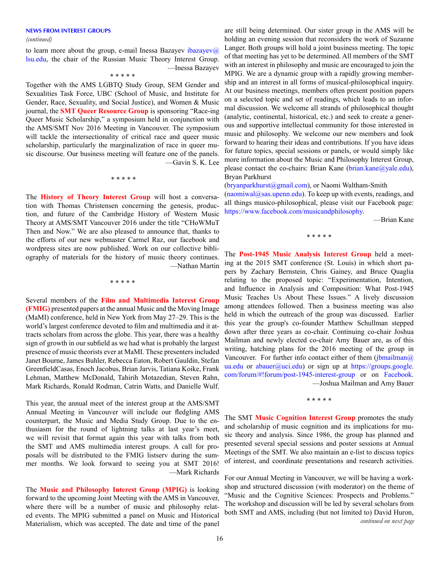*(continued)*

to learn more about the group, e-mail Inessa Bazayev ibazayev $\omega$ lsu.edu, the chair of the Russian Music Theory Interest Group. —Inessa Bazayev

#### \* \* \* \* \*

Together with the AMS LGBTQ Study Group, SEM Gender and Sexualities Task Force, UBC (School of Music, and Institute for Gender, Race, Sexuality, and Social Justice), and Women & Music journal, the **SMT Queer Resource Group** is sponsoring "Race-ing Queer Music Scholarship," a symposium held in conjunction with the AMS/SMT Nov 2016 Meeting in Vancouver. The symposium will tackle the intersectionality of critical race and queer music scholarship, particularly the marginalization of race in queer music discourse. Our business meeting will feature one of the panels. —Gavin S. K. Lee

\* \* \* \* \*

The **History of Theory Interest Group** will host a conversation with Thomas Christensen concerning the genesis, production, and future of the Cambridge History of Western Music Theory at AMS/SMT Vancouver 2016 under the title "CHoWMuT Then and Now." We are also pleased to announce that, thanks to the efforts of our new webmaster Carmel Raz, our facebook and wordpress sites are now published. Work on our collective bibliography of materials for the history of music theory continues. —Nathan Martin

\* \* \* \* \*

Several members of the **Film and Multimedia Interest Group (FMIG)** presented papers at the annual Music and the Moving Image (MaMI) conference, held in New York from May 27–29. This is the world's largest conference devoted to film and multimedia and it attracts scholars from across the globe. This year, there was a healthy sign of growth in our subfield as we had what is probably the largest presence of music theorists ever at MaMI. These presenters included Janet Bourne, James Buhler, Rebecca Eaton, Robert Gauldin, Stefan GreenfieldCasas, Enoch Jacobus, Brian Jarvis, Tatiana Koike, Frank Lehman, Matthew McDonald, Tahirih Motazedian, Steven Rahn, Mark Richards, Ronald Rodman, Catrin Watts, and Danielle Wulf.

This year, the annual meet of the interest group at the AMS/SMT Annual Meeting in Vancouver will include our fledgling AMS counterpart, the Music and Media Study Group. Due to the enthusiasm for the round of lightning talks at last year's meet, we will revisit that format again this year with talks from both the SMT and AMS multimedia interest groups. A call for proposals will be distributed to the FMIG listserv during the summer months. We look forward to seeing you at SMT 2016! —Mark Richards

The **Music and Philosophy Interest Group (MPIG)** is looking forward to the upcoming Joint Meeting with the AMS in Vancouver, where there will be a number of music and philosophy related events. The MPIG submitted a panel on Music and Historical Materialism, which was accepted. The date and time of the panel

are still being determined. Our sister group in the AMS will be holding an evening session that reconsiders the work of Suzanne Langer. Both groups will hold a joint business meeting. The topic of that meeting has yet to be determined. All members of the SMT with an interest in philosophy and music are encouraged to join the MPIG. We are a dynamic group with a rapidly growing membership and an interest in all forms of musical-philosophical inquiry. At our business meetings, members often present position papers on a selected topic and set of readings, which leads to an informal discussion. We welcome all strands of philosophical thought (analytic, continental, historical, etc.) and seek to create a generous and supportive intellectual community for those interested in music and philosophy. We welcome our new members and look forward to hearing their ideas and contributions. If you have ideas for future topics, special sessions or panels, or would simply like more information about the Music and Philosophy Interest Group, please contact the co-chairs: Brian Kane (brian.kane  $\omega$ yale.edu), Bryan Parkhurst

(bryanparkhurst@gmail.com), or Naomi Waltham-Smith

 $(naomiwal@sas.upenn.edu)$ . To keep up with events, readings, and all things musico-philosophical, please visit our Facebook page: https://www.facebook.com/musicandphilosophy.

—Brian Kane

\* \* \* \* \*

The **Post-1945 Music Analysis Interest Group** held a meeting at the 2015 SMT conference (St. Louis) in which short papers by Zachary Bernstein, Chris Gainey, and Bruce Quaglia relating to the proposed topic: "Experimentation, Intention, and Influence in Analysis and Composition: What Post-1945 Music Teaches Us About These Issues." A lively discussion among attendees followed. Then a business meeting was also held in which the outreach of the group was discussed. Earlier this year the group's co-founder Matthew Schullman stepped down after three years as co-chair. Continuing co-chair Joshua Mailman and newly elected co-chair Amy Bauer are, as of this writing, hatching plans for the 2016 meeting of the group in Vancouver. For further info contact either of them  $(ib_{\text{mailman}}@)$ ua.edu or abauer@uci.edu) or sign up at [https://groups.google.](https://groups.google.com/forum/#!forum/post-1945-interest-group) [com/forum/#!forum/post-1945-interest-group](https://groups.google.com/forum/#!forum/post-1945-interest-group) or on Facebook. —Joshua Mailman and Amy Bauer

\* \* \* \* \*

The SMT **Music Cognition Interest Group** promotes the study and scholarship of music cognition and its implications for music theory and analysis. Since 1986, the group has planned and presented several special sessions and poster sessions at Annual Meetings of the SMT. We also maintain an e-list to discuss topics of interest, and coordinate presentations and research activities.

*continued on next page* For our Annual Meeting in Vancouver, we will be having a workshop and structured discussion (with moderator) on the theme of "Music and the Cognitive Sciences: Prospects and Problems." The workshop and discussion will be led by several scholars from both SMT and AMS, including (but not limited to) David Huron,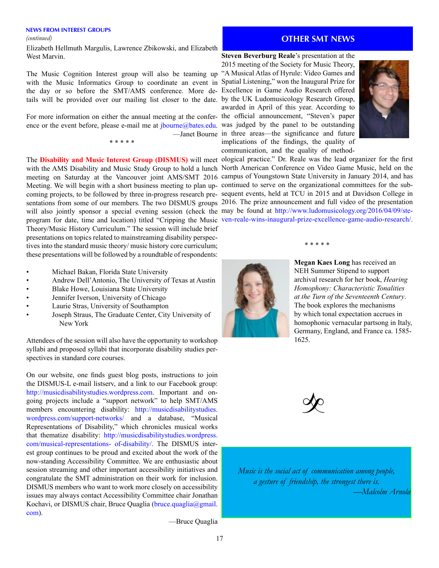*(continued)*

Elizabeth Hellmuth Margulis, Lawrence Zbikowski, and Elizabeth West Marvin.

The Music Cognition Interest group will also be teaming up "A Musical Atlas of Hyrule: Video Games and with the Music Informatics Group to coordinate an event in Spatial Listening," won the Inaugural Prize for the day or so before the SMT/AMS conference. More de-Excellence in Game Audio Research offered tails will be provided over our mailing list closer to the date. by the UK Ludomusicology Research Group,

For more information on either the annual meeting at the confer-the official announcement, "Steven's paper ence or the event before, please e-mail me at [jbourne@bates.edu](mailto:jbourne%40bates.edu?subject=). was judged by the panel to be outstanding

\* \* \* \* \*

with the AMS Disability and Music Study Group to hold a lunch North American Conference on Video Game Music, held on the meeting on Saturday at the Vancouver joint AMS/SMT 2016 campus of Youngstown State University in January 2014, and has Meeting. We will begin with a short business meeting to plan up-continued to serve on the organizational committees for the subcoming projects, to be followed by three in-progress research pre-sequent events, held at TCU in 2015 and at Davidson College in sentations from some of our members. The two DISMUS groups 2016. The prize announcement and full video of the presentation will also jointly sponsor a special evening session (check the may be found at http://www.ludomusicology.org/2016/04/09/steprogram for date, time and location) titled "Cripping the Music ven-reale-wins-inaugural-prize-excellence-game-audio-research/. Theory/Music History Curriculum." The session will include brief presentations on topics related to mainstreaming disability perspectives into the standard music theory/ music history core curriculum; these presentations will be followed by a roundtable of respondents:

- Michael Bakan, Florida State University
- Andrew Dell'Antonio, The University of Texas at Austin
- Blake Howe, Louisiana State University
- Jennifer Iverson, University of Chicago
- Laurie Stras, University of Southampton
- Joseph Straus, The Graduate Center, City University of New York

Attendees of the session will also have the opportunity to workshop syllabi and proposed syllabi that incorporate disability studies perspectives in standard core courses.

On our website, one finds guest blog posts, instructions to join the DISMUS-L e-mail listserv, and a link to our Facebook group: [http://musicdisabilitystudies.wordpress.com.](http://musicdisabilitystudies.wordpress.com) Important and ongoing projects include a "support network" to help SMT/AMS members encountering disability: [http://musicdisabilitystudies.](http://musicdisabilitystudies.wordpress.com/support-networks/ ) [wordpress.com/support-networks/ a](http://musicdisabilitystudies.wordpress.com/support-networks/ )nd a database, "Musical Representations of Disability," which chronicles musical works that thematize disability: [http://musicdisabilitystudies.wordpress.](http://musicdisabilitystudies.wordpress.com/musical-representations- of-disability/) [com/musical-representations- of-disability/.](http://musicdisabilitystudies.wordpress.com/musical-representations- of-disability/) The DISMUS interest group continues to be proud and excited about the work of the now-standing Accessibility Committee. We are enthusiastic about session streaming and other important accessibility initiatives and congratulate the SMT administration on their work for inclusion. DISMUS members who want to work more closely on accessibility issues may always contact Accessibility Committee chair Jonathan Kochavi, or DISMUS chair, Bruce Quaglia ([bruce.quaglia@gmail.](http://bruce.quaglia@gmail.com) [com\)](http://bruce.quaglia@gmail.com).

—Bruce Quaglia

## **OTHER SMT NEWS**

#### **Steven Beverburg Reale**'s presentation at the

—Janet Bourne in three areas—the significance and future 2015 meeting of the Society for Music Theory, awarded in April of this year. According to implications of the findings, the quality of communication, and the quality of method-



The **Disability and Music Interest Group (DISMUS)** will meet ological practice." Dr. Reale was the lead organizer for the first

\* \* \* \* \*



#### **Megan Kaes Long** has received an NEH Summer Stipend to support archival research for her book, *Hearing Homophony: Characteristic Tonalities at the Turn of the Seventeenth Century*. The book explores the mechanisms by which tonal expectation accrues in homophonic vernacular partsong in Italy, Germany, England, and France ca. 1585- 1625.



*Music is the social act of communication among people, a gesture of friendship, the strongest there is. —Malcolm Arnold*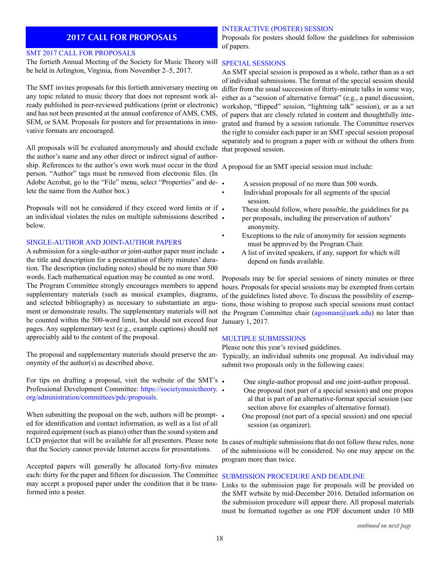## **2017 CALL FOR PROPOSALS**

#### SMT 2017 CALL FOR PROPOSALS

The fortieth Annual Meeting of the Society for Music Theory will SPECIAL SESSIONS be held in Arlington, Virginia, from November 2–5, 2017.

The SMT invites proposals for this fortieth anniversary meeting on any topic related to music theory that does not represent work already published in peer-reviewed publications (print or electronic) and has not been presented at the annual conference of AMS, CMS, SEM, or SAM. Proposals for posters and for presentations in innovative formats are encouraged.

All proposals will be evaluated anonymously and should exclude the author's name and any other direct or indirect signal of authorship. References to the author's own work must occur in the third person. "Author" tags must be removed from electronic files. (In Adobe Acrobat, go to the "File" menu, select "Properties" and delete the name from the Author box.)

Proposals will not be considered if they exceed word limits or if  $\bullet$ an individual violates the rules on multiple submissions described • below.

#### SINGLE-AUTHOR AND JOINT-AUTHOR PAPERS

A submission for a single-author or joint-author paper must include. the title and description for a presentation of thirty minutes' duration. The description (including notes) should be no more than 500 words. Each mathematical equation may be counted as one word. The Program Committee strongly encourages members to append supplementary materials (such as musical examples, diagrams, and selected bibliography) as necessary to substantiate an argument or demonstrate results. The supplementary materials will not be counted within the 500-word limit, but should not exceed four pages. Any supplementary text (e.g., example captions) should not appreciably add to the content of the proposal.

The proposal and supplementary materials should preserve the anonymity of the author(s) as described above.

For tips on drafting a proposal, visit the website of the SMT's. Professional Development Committee: [https://societymusictheory.](https://societymusictheory.org/administration/committees/pdc/proposals) • [org/administration/committees/pdc/proposals.](https://societymusictheory.org/administration/committees/pdc/proposals)

When submitting the proposal on the web, authors will be prompted for identification and contact information, as well as a list of all required equipment (such as piano) other than the sound system and LCD projector that will be available for all presenters. Please note In cases of multiple submissions that do not follow these rules, none that the Society cannot provide Internet access for presentations.

Accepted papers will generally be allocated forty-five minutes each: thirty for the paper and fifteen for discussion. The Committee may accept a proposed paper under the condition that it be transformed into a poster.

#### INTERACTIVE (POSTER) SESSION

Proposals for posters should follow the guidelines for submission of papers.

An SMT special session is proposed as a whole, rather than as a set of individual submissions. The format of the special session should differ from the usual succession of thirty-minute talks in some way, either as a "session of alternative format" (e.g., a panel discussion, workshop, "flipped" session, "lightning talk" session), or as a set of papers that are closely related in content and thoughtfully integrated and framed by a session rationale. The Committee reserves the right to consider each paper in an SMT special session proposal separately and to program a paper with or without the others from that proposed session.

A proposal for an SMT special session must include:

- A session proposal of no more than 500 words.
- Individual proposals for all segments of the special session.
	- These should follow, where possible, the guidelines for pa
- per proposals, including the preservation of authors' anonymity.
- Exceptions to the rule of anonymity for session segments must be approved by the Program Chair.
- A list of invited speakers, if any, support for which will depend on funds available.

Proposals may be for special sessions of ninety minutes or three hours. Proposals for special sessions may be exempted from certain of the guidelines listed above. To discuss the possibility of exemptions, those wishing to propose such special sessions must contact the Program Committee chair  $(a_{\text{gosman}}(\partial_{\text{uark}})$  no later than January 1, 2017.

#### MULTIPLE SUBMISSIONS

Please note this year's revised guidelines.

Typically, an individual submits one proposal. An individual may submit two proposals only in the following cases:

- One single-author proposal and one joint-author proposal.
- One proposal (not part of a special session) and one propos al that is part of an alternative-format special session (see section above for examples of alternative format).
- One proposal (not part of a special session) and one special session (as organizer).

of the submissions will be considered. No one may appear on the program more than twice.

#### SUBMISSION PROCEDURE AND DEADLINE

Links to the submission page for proposals will be provided on the SMT website by mid-December 2016. Detailed information on the submission procedure will appear there. All proposal materials must be formatted together as one PDF document under 10 MB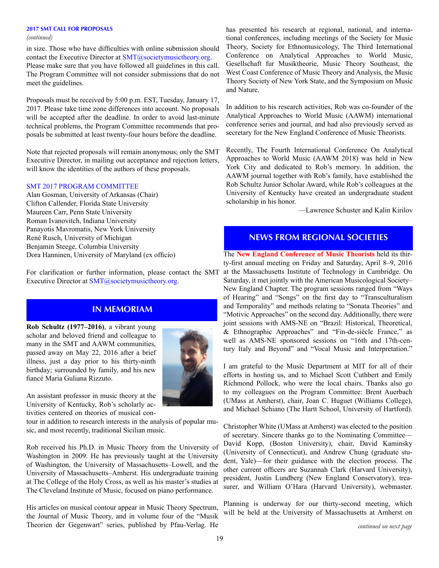#### **2017 SMT CALL FOR PROPOSALS**

*(continued)*

in size. Those who have difficulties with online submission should contact the Executive Director at [SMT@societymusictheory.org](http://SMT@societymusictheory.org). Please make sure that you have followed all guidelines in this call. The Program Committee will not consider submissions that do not meet the guidelines.

Proposals must be received by 5:00 p.m. EST, Tuesday, January 17, 2017. Please take time zone differences into account. No proposals will be accepted after the deadline. In order to avoid last-minute technical problems, the Program Committee recommends that proposals be submitted at least twenty-four hours before the deadline.

Note that rejected proposals will remain anonymous; only the SMT Executive Director, in mailing out acceptance and rejection letters, will know the identities of the authors of these proposals.

#### SMT 2017 PROGRAM COMMITTEE

Alan Gosman, University of Arkansas (Chair) Clifton Callender, Florida State University Maureen Carr, Penn State University Roman Ivanovitch, Indiana University Panayotis Mavromatis, New York University René Rusch, University of Michigan Benjamin Steege, Columbia University Dora Hanninen, University of Maryland (ex officio)

For clarification or further information, please contact the SMT Executive Director at [SMT@societymusictheory.org](http://SMT@societymusictheory.org).

## **IN MEMORIAM**

**Rob Schultz (1977–2016)**, a vibrant young scholar and beloved friend and colleague to many in the SMT and AAWM communities, passed away on May 22, 2016 after a brief illness, just a day prior to his thirty-ninth birthday; surrounded by family, and his new fiancé Maria Guliana Rizzuto.



An assistant professor in music theory at the University of Kentucky, Rob's scholarly activities centered on theories of musical con-

tour in addition to research interests in the analysis of popular music, and most recently, traditional Sicilian music.

Rob received his Ph.D. in Music Theory from the University of Washington in 2009. He has previously taught at the University of Washington, the University of Massachusetts–Lowell, and the University of Massachusetts–Amherst. His undergraduate training at The College of the Holy Cross, as well as his master's studies at The Cleveland Institute of Music, focused on piano performance.

His articles on musical contour appear in Music Theory Spectrum, the Journal of Music Theory, and in volume four of the "Musik Theorien der Gegenwart" series, published by Pfau-Verlag. He has presented his research at regional, national, and international conferences, including meetings of the Society for Music Theory, Society for Ethnomusicology, The Third International Conference on Analytical Approaches to World Music, Gesellschaft fur Musiktheorie, Music Theory Southeast, the West Coast Conference of Music Theory and Analysis, the Music Theory Society of New York State, and the Symposium on Music and Nature.

In addition to his research activities, Rob was co-founder of the Analytical Approaches to World Music (AAWM) international conference series and journal, and had also previously served as secretary for the New England Conference of Music Theorists.

Recently, The Fourth International Conference On Analytical Approaches to World Music (AAWM 2018) was held in New York City and dedicated to Rob's memory. In addition, the AAWM journal together with Rob's family, have established the Rob Schultz Junior Scholar Award, while Rob's colleagues at the University of Kentucky have created an undergraduate student scholarship in his honor.

—Lawrence Schuster and Kalin Kirilov

## **NEWS FROM REGIONAL SOCIETIES**

The **New England Conference of Music Theorists** held its thirty-first annual meeting on Friday and Saturday, April 8–9, 2016 at the Massachusetts Institute of Technology in Cambridge. On Saturday, it met jointly with the American Musicological Society– New England Chapter. The program sessions ranged from "Ways of Hearing" and "Songs" on the first day to "Transculturalism and Temporality" and methods relating to "Sonata Theories" and "Motivic Approaches" on the second day. Additionally, there were joint sessions with AMS-NE on "Brazil: Historical, Theoretical, & Ethnographic Approaches" and "Fin-de-siècle France," as well as AMS-NE sponsored sessions on "16th and 17th-century Italy and Beyond" and "Vocal Music and Interpretation."

I am grateful to the Music Department at MIT for all of their efforts in hosting us, and to Michael Scott Cuthbert and Emily Richmond Pollock, who were the local chairs. Thanks also go to my colleagues on the Program Committee: Brent Auerbach (UMass at Amherst), chair, Joan C. Huguet (Williams College), and Michael Schiano (The Hartt School, University of Hartford).

Christopher White (UMass at Amherst) was elected to the position of secretary. Sincere thanks go to the Nominating Committee— David Kopp, (Boston University), chair, David Kaminsky (University of Connecticut), and Andrew Chung (graduate student, Yale)—for their guidance with the election process. The other current officers are Suzannah Clark (Harvard University), president, Justin Lundberg (New England Conservatory), treasurer, and William O'Hara (Harvard University), webmaster.

Planning is underway for our thirty-second meeting, which will be held at the University of Massachusetts at Amherst on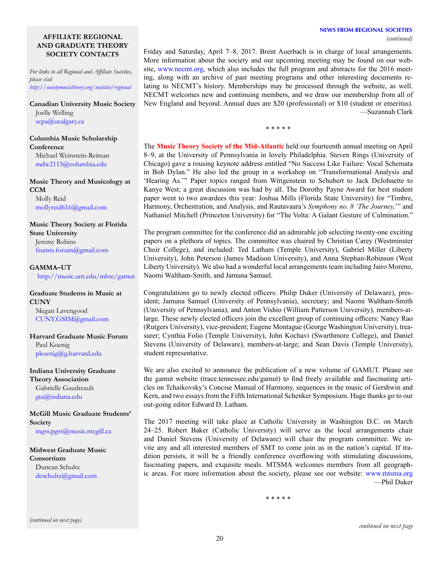# **NEWS FROM REGIONAL SOCIETIES**

**AFFILIATE REGIONAL** *(continued)* **AND GRADUATE THEORY SOCIETY CONTACTS**

*For links to all Regional and Affiliate Societies, please visit [http://societymusictheory.org/societies/regional]( http://societymusictheory.org/societies/regional )* 

**Canadian University Music Society** Joelle Welling [scpa@ucalgary.ca](mailto:scpa%40ucalgary.ca?subject=)

**Columbia Music Scholarship Conference** Michael Weinstein-Reiman [mdw2115@columbia.edu](mailto:mdw2115%40columbia.edu?subject=)

**Music Theory and Musicology at CCM** Molly Reid [mollyreid616@gmail.com](mailto:mollyreid616%40gmail.com?subject=)

**Music Theory Society at Florida State University** Jeremy Robins [fsumts.forum@gmail.com](mailto:fsumts.forum%40gmail.com?subject=)

**GAMMA–UT** <http://music.unt.edu/mhte/gamut>

**Graduate Students in Music at CUNY** Megan Lavengood [CUNY.GSIM@gmail.com](mailto:CUNY.GSIM%40gmail.com?subject=)

**Harvard Graduate Music Forum** Paul Koenig [pkoenig@g.harvard.edu](mailto:pkoenig%40g.harvard.edu?subject=)

**Indiana University Graduate Theory Association** Gabrielle Gaudreault [gta@indiana.edu](mailto:gta%40indiana.edu?subject=)

**McGill Music Graduate Students' Society** [mgss.pgss@music.mcgill.ca](mailto:mgss.pgss%40music.mcgill.ca%20?subject=)

**Midwest Graduate Music Consortium** Duncan Schultz [dcschultz@gmail.com](mailto:dcschultz%40gmail.com?subject=)

Friday and Saturday, April 7–8, 2017. Brent Auerbach is in charge of local arrangements. More information about the society and our upcoming meeting may be found on our website, [www.necmt.org,](http://www.necmt.org) which also includes the full program and abstracts for the 2016 meeting, along with an archive of past meeting programs and other interesting documents relating to NECMT's history. Memberships may be processed through the website, as well. NECMT welcomes new and continuing members, and we draw our membership from all of New England and beyond. Annual dues are \$20 (professional) or \$10 (student or emeritus). —Suzannah Clark

\* \* \* \* \*

The **Music Theory Society of the Mid-Atlantic** held our fourteenth annual meeting on April 8–9, at the University of Pennsylvania in lovely Philadelphia. Steven Rings (University of Chicago) gave a rousing keynote address entitled "No Success Like Failure: Vocal Schemata in Bob Dylan." He also led the group in a workshop on "Transformational Analysis and 'Hearing As.'" Paper topics ranged from Wittgenstein to Schubert to Jack DeJohnette to Kanye West; a great discussion was had by all. The Dorothy Payne Award for best student paper went to two awardees this year: Joshua Mills (Florida State University) for "Timbre, Harmony, Orchestration, and Analysis, and Rautavaara's *Symphony no. 8 'The Journey,*'" and Nathaniel Mitchell (Princeton University) for "The Volta: A Galant Gesture of Culmination."

The program committee for the conference did an admirable job selecting twenty-one exciting papers on a plethora of topics. The committee was chaired by Christian Carey (Westminster Choir College), and included: Ted Latham (Temple University), Gabriel Miller (Liberty University), John Peterson (James Madison University), and Anna Stephan-Robinson (West Liberty University). We also had a wonderful local arrangements team including Jairo Moreno, Naomi Waltham-Smith, and Jamuna Samuel.

Congratulations go to newly elected officers: Philip Duker (University of Delaware), president; Jamuna Samuel (University of Pennsylvania), secretary; and Naomi Waltham-Smith (University of Pennsylvania), and Anton Vishio (William Patterson University), members-atlarge. These newly elected officers join the excellent group of continuing officers: Nancy Rao (Rutgers University), vice-president; Eugene Montague (George Washington University), treasurer; Cynthia Folio (Temple University), John Kochavi (Swarthmore College), and Daniel Stevens (University of Delaware), members-at-large; and Sean Davis (Temple University), student representative.

We are also excited to announce the publication of a new volume of GAMUT. Please see the gamut website (trace.tennessee.edu/gamut) to find freely available and fascinating articles on Tchaikovsky's Concise Manual of Harmony, sequences in the music of Gershwin and Kern, and two essays from the Fifth International Schenker Symposium. Huge thanks go to our out-going editor Edward D. Latham.

The 2017 meeting will take place at Catholic University in Washington D.C. on March 24–25. Robert Baker (Catholic University) will serve as the local arrangements chair and Daniel Stevens (University of Delaware) will chair the program committee. We invite any and all interested members of SMT to come join us in the nation's capital. If tradition persists, it will be a friendly conference overflowing with stimulating discussions, fascinating papers, and exquisite meals. MTSMA welcomes members from all geographic areas. For more information about the society, please see our website: [www.mtsma.org](http://www.mtsma.org) —Phil Duker

\* \* \* \* \*

*(continued on next page)*

*continued on next page*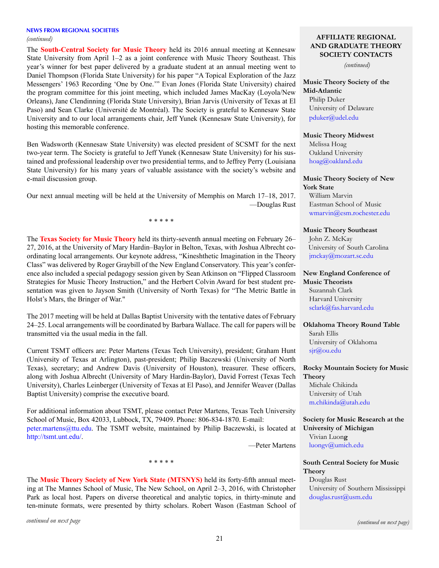# **NEWS FROM REGIONAL SOCIETIES**

*(continued)*

The **South-Central Society for Music Theory** held its 2016 annual meeting at Kennesaw State University from April 1–2 as a joint conference with Music Theory Southeast. This year's winner for best paper delivered by a graduate student at an annual meeting went to Daniel Thompson (Florida State University) for his paper "A Topical Exploration of the Jazz Messengers' 1963 Recording 'One by One.'" Evan Jones (Florida State University) chaired the program committee for this joint meeting, which included James MacKay (Loyola/New Orleans), Jane Clendinning (Florida State University), Brian Jarvis (University of Texas at El Paso) and Sean Clarke (Université de Montréal). The Society is grateful to Kennesaw State University and to our local arrangements chair, Jeff Yunek (Kennesaw State University), for hosting this memorable conference.

Ben Wadsworth (Kennesaw State University) was elected president of SCSMT for the next two-year term. The Society is grateful to Jeff Yunek (Kennesaw State University) for his sustained and professional leadership over two presidential terms, and to Jeffrey Perry (Louisiana State University) for his many years of valuable assistance with the society's website and e-mail discussion group.

Our next annual meeting will be held at the University of Memphis on March 17–18, 2017. —Douglas Rust

\* \* \* \* \*

The **Texas Society for Music Theory** held its thirty-seventh annual meeting on February 26– 27, 2016, at the University of Mary Hardin–Baylor in Belton, Texas, with Joshua Albrecht coordinating local arrangements. Our keynote address, "Kineshthetic Imagination in the Theory Class" was delivered by Roger Graybill of the New England Conservatory. This year's conference also included a special pedagogy session given by Sean Atkinson on "Flipped Classroom Strategies for Music Theory Instruction," and the Herbert Colvin Award for best student presentation was given to Jayson Smith (University of North Texas) for "The Metric Battle in Holst's Mars, the Bringer of War."

The 2017 meeting will be held at Dallas Baptist University with the tentative dates of February 24–25. Local arrangements will be coordinated by Barbara Wallace. The call for papers will be transmitted via the usual media in the fall.

Current TSMT officers are: Peter Martens (Texas Tech University), president; Graham Hunt (University of Texas at Arlington), past-president; Philip Baczewski (University of North Texas), secretary; and Andrew Davis (University of Houston), treasurer. These officers, along with Joshua Albrecht (University of Mary Hardin-Baylor), David Forrest (Texas Tech University), Charles Leinberger (University of Texas at El Paso), and Jennifer Weaver (Dallas Baptist University) comprise the executive board.

For additional information about TSMT, please contact Peter Martens, Texas Tech University School of Music, Box 42033, Lubbock, TX, 79409. Phone: 806-834-1870. E-mail: [peter.martens@ttu.edu.](http://peter.martens@ttu.edu) The TSMT website, maintained by Philip Baczewski, is located at [http://tsmt.unt.edu/.](mailto:/?subject=)

—Peter Martens

The **Music Theory Society of New York State (MTSNYS)** held its forty-fifth annual meeting at The Mannes School of Music, The New School, on April 2–3, 2016, with Christopher Park as local host. Papers on diverse theoretical and analytic topics, in thirty-minute and ten-minute formats, were presented by thirty scholars. Robert Wason (Eastman School of

\* \* \* \* \*

*continued on next page*

#### **AFFILIATE REGIONAL AND GRADUATE THEORY SOCIETY CONTACTS**

*(continued)*

**Music Theory Society of the Mid-Atlantic** Philip Duker University of Delaware pduker@udel.ed[u](mailto:rbergman%40gmu.edu%20?subject=)

#### **Music Theory Midwest**

Melissa Hoag Oakland University [hoag@oakland.edu](mailto:hoag%40oakland.edu%20?subject=)

#### **Music Theory Society of New York State**

William Marvin Eastman School of Music wmarvin[@esm.rochester.edu](mailto:jdunsby%40esm.rochester.edu%20?subject=)

#### **Music Theory Southeast**

John Z. McKay University of South Carolina [jmckay@mozart.sc.edu](mailto:jmckay%40mozart.sc.edu?subject=)

## **New England Conference of**

**Music Theorists** Suzannah Clark Harvard University [sclark@fas.harvard.edu](mailto:sclark%40fas.harvard.edu?subject=)

#### **Oklahoma Theory Round Table** Sarah Ellis

University of Oklahoma sjr[@ou.edu](mailto:kstephenson%40ou.edu%20?subject=)

#### **Rocky Mountain Society for Music Theory**

Michale Chikinda University of Utah [m.chikinda@utah.edu](mailto:m.chikinda%40utah.edu?subject=)

#### **Society for Music Research at the University of Michigan** Vivian Luon**g** [luongv@umich.edu](mailto:luongv%40umich.edu?subject=)

#### **South Central Society for Music Theory**

Douglas Rust University of Southern Mississippi douglas.rust@usm.ed[u](mailto:atheisen%40mhc.edu%20?subject=)

*(continued on next page)*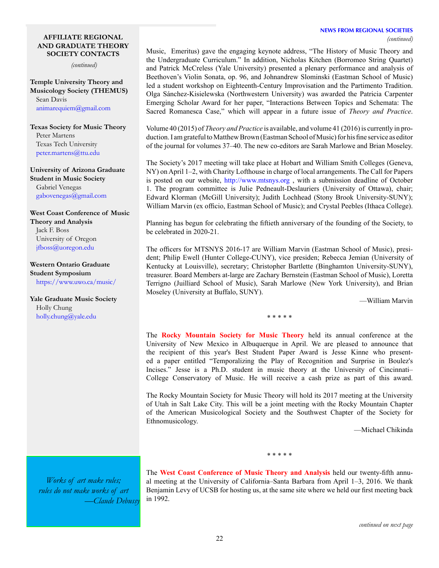#### **NEWS FROM REGIONAL SOCIETIES AFFILIATE REGIONAL** *(continued)*

# **AND GRADUATE THEORY SOCIETY CONTACTS**

*(continued)*

**Temple University Theory and Musicology Society (THEMUS)** Sean Davis [animarequiem@gmail.com](mailto:animarequiem%40gmail.com?subject=)

**Texas Society for Music Theory** Peter Martens Texas Tech University [peter.martens@ttu.edu](mailto:peter.martens%40ttu.edu?subject=)

**University of Arizona Graduate Student in Music Society** Gabriel Venegas [gabovenegas@gmail.com](mailto:gabovenegas%40gmail.com?subject=)

**West Coast Conference of Music Theory and Analysis** Jack F. Boss University of Oregon [jfboss@uoregon.edu](mailto:jfboss%40uoregon.edu%20?subject=)

## **Western Ontario Graduate Student Symposium** https://www.uwo.ca/music/

**Yale Graduate Music Society** Holly Chung [holly.chung@yale.edu](mailto:holly.chung%40yale.edu?subject=)

Music, Emeritus) gave the engaging keynote address, "The History of Music Theory and the Undergraduate Curriculum." In addition, Nicholas Kitchen (Borromeo String Quartet) and Patrick McCreless (Yale University) presented a plenary performance and analysis of Beethoven's Violin Sonata, op. 96, and Johnandrew Slominski (Eastman School of Music) led a student workshop on Eighteenth-Century Improvisation and the Partimento Tradition. Olga Sánchez-Kisielewska (Northwestern University) was awarded the Patricia Carpenter Emerging Scholar Award for her paper, "Interactions Between Topics and Schemata: The Sacred Romanesca Case," which will appear in a future issue of *Theory and Practice*.

Volume 40 (2015) of *Theory and Practice* is available, and volume 41 (2016) is currently in production. I am grateful to Matthew Brown (Eastman School of Music) for his fine service as editor of the journal for volumes 37–40. The new co-editors are Sarah Marlowe and Brian Moseley.

The Society's 2017 meeting will take place at Hobart and William Smith Colleges (Geneva, NY) on April 1–2, with Charity Lofthouse in charge of local arrangements. The Call for Papers is posted on our website, <http://www.mtsnys.org> , with a submission deadline of October 1. The program committee is Julie Pedneault-Deslauriers (University of Ottawa), chair; Edward Klorman (McGill University); Judith Lochhead (Stony Brook University-SUNY); William Marvin (ex officio, Eastman School of Music); and Crystal Peebles (Ithaca College).

Planning has begun for celebrating the fiftieth anniversary of the founding of the Society, to be celebrated in 2020-21.

The officers for MTSNYS 2016-17 are William Marvin (Eastman School of Music), president; Philip Ewell (Hunter College-CUNY), vice presiden; Rebecca Jemian (University of Kentucky at Louisville), secretary; Christopher Bartlette (Binghamton University-SUNY), treasurer. Board Members at-large are Zachary Bernstein (Eastman School of Music), Loretta Terrigno (Juilliard School of Music), Sarah Marlowe (New York University), and Brian Moseley (University at Buffalo, SUNY).

—William Marvin

#### \* \* \* \* \*

The **Rocky Mountain Society for Music Theory** held its annual conference at the University of New Mexico in Albuquerque in April. We are pleased to announce that the recipient of this year's Best Student Paper Award is Jesse Kinne who presented a paper entitled "Temporalizing the Play of Recognition and Surprise in Boulez's Incises." Jesse is a Ph.D. student in music theory at the University of Cincinnati– College Conservatory of Music. He will receive a cash prize as part of this award.

The Rocky Mountain Society for Music Theory will hold its 2017 meeting at the University of Utah in Salt Lake City. This will be a joint meeting with the Rocky Mountain Chapter of the American Musicological Society and the Southwest Chapter of the Society for Ethnomusicology.

—Michael Chikinda

*Works of art make rules; rules do not make works of art —Claude Debussy*

The **West Coast Conference of Music Theory and Analysis** held our twenty-fifth annual meeting at the University of California–Santa Barbara from April 1–3, 2016. We thank Benjamin Levy of UCSB for hosting us, at the same site where we held our first meeting back in 1992.

\* \* \* \* \*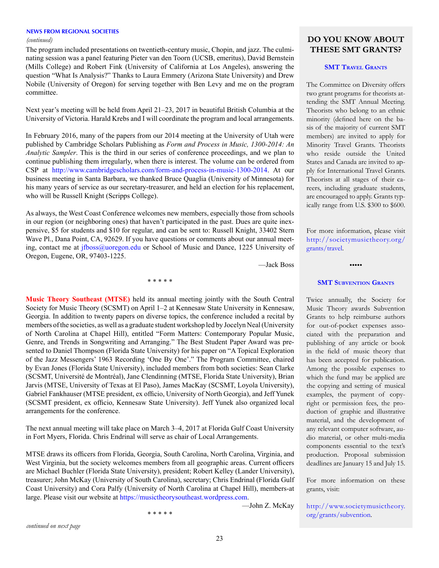#### **NEWS FROM REGIONAL SOCIETIES**

*(continued)*

The program included presentations on twentieth-century music, Chopin, and jazz. The culminating session was a panel featuring Pieter van den Toorn (UCSB, emeritus), David Bernstein (Mills College) and Robert Fink (University of California at Los Angeles), answering the question "What Is Analysis?" Thanks to Laura Emmery (Arizona State University) and Drew Nobile (University of Oregon) for serving together with Ben Levy and me on the program committee.

Next year's meeting will be held from April 21–23, 2017 in beautiful British Columbia at the University of Victoria. Harald Krebs and I will coordinate the program and local arrangements.

In February 2016, many of the papers from our 2014 meeting at the University of Utah were published by Cambridge Scholars Publishing as *Form and Process in Music, 1300-2014: An Analytic Sampler*. This is the third in our series of conference proceedings, and we plan to continue publishing them irregularly, when there is interest. The volume can be ordered from CSP at <http://www.cambridgescholars.com/form-and-process-in-music-1300-2014>. At our business meeting in Santa Barbara, we thanked Bruce Quaglia (University of Minnesota) for his many years of service as our secretary-treasurer, and held an election for his replacement, who will be Russell Knight (Scripps College).

As always, the West Coast Conference welcomes new members, especially those from schools in our region (or neighboring ones) that haven't participated in the past. Dues are quite inexpensive, \$5 for students and \$10 for regular, and can be sent to: Russell Knight, 33402 Stern Wave Pl., Dana Point, CA, 92629. If you have questions or comments about our annual meeting, contact me at jfboss@uoregon.edu or School of Music and Dance, 1225 University of Oregon, Eugene, OR, 97403-1225.

\* \* \* \* \*

—Jack Boss

**Music Theory Southeast (MTSE)** held its annual meeting jointly with the South Central Society for Music Theory (SCSMT) on April 1–2 at Kennesaw State University in Kennesaw, Georgia. In addition to twenty papers on diverse topics, the conference included a recital by members of the societies, as well as a graduate student workshop led by Jocelyn Neal (University of North Carolina at Chapel Hill), entitled "Form Matters: Contemporary Popular Music, Genre, and Trends in Songwriting and Arranging." The Best Student Paper Award was presented to Daniel Thompson (Florida State University) for his paper on "A Topical Exploration of the Jazz Messengers' 1963 Recording 'One By One'." The Program Committee, chaired by Evan Jones (Florida State University), included members from both societies: Sean Clarke (SCSMT, Université de Montréal), Jane Clendinning (MTSE, Florida State University), Brian Jarvis (MTSE, University of Texas at El Paso), James MacKay (SCSMT, Loyola University), Gabriel Fankhauser (MTSE president, ex officio, University of North Georgia), and Jeff Yunek (SCSMT president, ex officio, Kennesaw State University). Jeff Yunek also organized local arrangements for the conference.

The next annual meeting will take place on March 3–4, 2017 at Florida Gulf Coast University in Fort Myers, Florida. Chris Endrinal will serve as chair of Local Arrangements.

MTSE draws its officers from Florida, Georgia, South Carolina, North Carolina, Virginia, and West Virginia, but the society welcomes members from all geographic areas. Current officers are Michael Buchler (Florida State University), president; Robert Kelley (Lander University), treasurer; John McKay (University of South Carolina), secretary; Chris Endrinal (Florida Gulf Coast University) and Cora Palfy (University of North Carolina at Chapel Hill), members-at large. Please visit our website at [https://musictheorysoutheast.wordpress.com.](https://musictheorysoutheast.wordpress.com)

\* \* \* \* \*

—John Z. McKay

**DO YOU KNOW ABOUT THESE SMT GRANTS?**

#### **SMT Travel Grants**

The Committee on Diversity offers two grant programs for theorists attending the SMT Annual Meeting. Theorists who belong to an ethnic minority (defined here on the basis of the majority of current SMT members) are invited to apply for Minority Travel Grants. Theorists who reside outside the United States and Canada are invited to apply for International Travel Grants. Theorists at all stages of their careers, including graduate students, are encouraged to apply. Grants typically range from U.S. \$300 to \$600.

For more information, please visit [http://societymusictheory.org/](http://societymusictheory.org/grants/travel) [grants/travel](http://societymusictheory.org/grants/travel).

#### **SMT SUBVENTION GRANTS**

•••••

Twice annually, the Society for Music Theory awards Subvention Grants to help reimburse authors for out-of-pocket expenses associated with the preparation and publishing of any article or book in the field of music theory that has been accepted for publication. Among the possible expenses to which the fund may be applied are the copying and setting of musical examples, the payment of copyright or permission fees, the production of graphic and illustrative material, and the development of any relevant computer software, audio material, or other multi-media components essential to the text's production. Proposal submission deadlines are January 15 and July 15.

For more information on these grants, visit:

[http://www.societymusictheory.](http://societymusictheory.org/grants/travel) [org/grants/subvention](http://societymusictheory.org/grants/travel).

*continued on next page*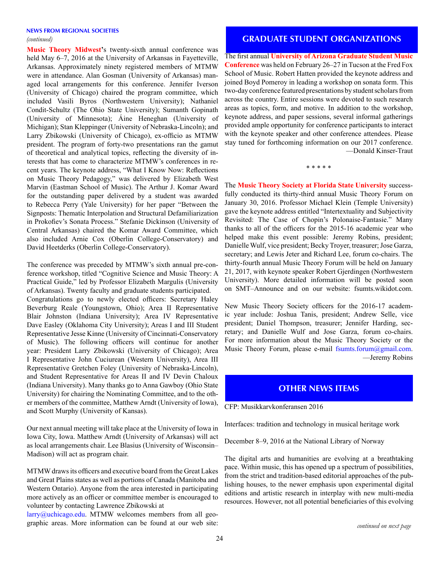## **NEWS FROM REGIONAL SOCIETIES**

*(continued)*

**Music Theory Midwest'**s twenty-sixth annual conference was held May 6–7, 2016 at the University of Arkansas in Fayetteville, Arkansas. Approximately ninety registered members of MTMW were in attendance. Alan Gosman (University of Arkansas) managed local arrangements for this conference. Jennifer Iverson (University of Chicago) chaired the program committee, which included Vasili Byros (Northwestern University); Nathaniel Condit-Schultz (The Ohio State University); Sumanth Gopinath (University of Minnesota); Áine Heneghan (University of Michigan); Stan Kleppinger (University of Nebraska-Lincoln); and Larry Zbikowski (University of Chicago), ex-officio as MTMW president. The program of forty-two presentations ran the gamut of theoretical and analytical topics, reflecting the diversity of interests that has come to characterize MTMW's conferences in recent years. The keynote address, "What I Know Now: Reflections on Music Theory Pedagogy," was delivered by Elizabeth West Marvin (Eastman School of Music). The Arthur J. Komar Award for the outstanding paper delivered by a student was awarded to Rebecca Perry (Yale University) for her paper "Between the Signposts: Thematic Interpolation and Structural Defamiliarization in Prokofiev's Sonata Process." Stefanie Dickinson (University of Central Arkansas) chaired the Komar Award Committee, which also included Arnie Cox (Oberlin College-Conservatory) and David Heetderks (Oberlin College-Conservatory).

The conference was preceded by MTMW's sixth annual pre-conference workshop, titled "Cognitive Science and Music Theory: A Practical Guide," led by Professor Elizabeth Margulis (University of Arkansas). Twenty faculty and graduate students participated. Congratulations go to newly elected officers: Secretary Haley Beverburg Reale (Youngstown, Ohio); Area II Representative Blair Johnston (Indiana University); Area IV Representative Dave Easley (Oklahoma City University); Areas I and III Student Representative Jesse Kinne (University of Cincinnati-Conservatory of Music). The following officers will continue for another year: President Larry Zbikowski (University of Chicago); Area I Representative John Cuciurean (Western University), Area III Representative Gretchen Foley (University of Nebraska-Lincoln), and Student Representative for Areas II and IV Devin Chaloux (Indiana University). Many thanks go to Anna Gawboy (Ohio State University) for chairing the Nominating Committee, and to the other members of the committee, Matthew Arndt (University of Iowa), and Scott Murphy (University of Kansas).

Our next annual meeting will take place at the University of Iowa in Iowa City, Iowa. Matthew Arndt (University of Arkansas) will act as local arrangements chair. Lee Blasius (University of Wisconsin– Madison) will act as program chair.

MTMW draws its officers and executive board from the Great Lakes and Great Plains states as well as portions of Canada (Manitoba and Western Ontario). Anyone from the area interested in participating more actively as an officer or committee member is encouraged to volunteer by contacting Lawrence Zbikowski at

[larry@uchicago.edu.](http://larry@uchicago.edu) MTMW welcomes members from all geographic areas. More information can be found at our web site:

## **GRADUATE STUDENT ORGANIZATIONS**

The first annual **University of Arizona Graduate Student Music Conference** was held on February 26–27 in Tucson at the Fred Fox School of Music. Robert Hatten provided the keynote address and joined Boyd Pomeroy in leading a workshop on sonata form. This two-day conference featured presentations by student scholars from across the country. Entire sessions were devoted to such research areas as topics, form, and motive. In addition to the workshop, keynote address, and paper sessions, several informal gatherings provided ample opportunity for conference participants to interact with the keynote speaker and other conference attendees. Please stay tuned for forthcoming information on our 2017 conference. —Donald Kinser-Traut

\* \* \* \* \*

The **Music Theory Society at Florida State University** successfully conducted its thirty-third annual Music Theory Forum on January 30, 2016. Professor Michael Klein (Temple University) gave the keynote address entitled "Intertextuality and Subjectivity Revisited: The Case of Chopin's Polonaise-Fantasie." Many thanks to all of the officers for the 2015-16 academic year who helped make this event possible: Jeremy Robins, president; Danielle Wulf, vice president; Becky Troyer, treasurer; Jose Garza, secretary; and Lewis Jeter and Richard Lee, forum co-chairs. The thirty-fourth annual Music Theory Forum will be held on January 21, 2017, with keynote speaker Robert Gjerdingen (Northwestern University). More detailed information will be posted soon on SMT–Announce and on our website: fsumts.wikidot.com.

New Music Theory Society officers for the 2016-17 academic year include: Joshua Tanis, president; Andrew Selle, vice president; Daniel Thompson, treasurer; Jennifer Harding, secretary; and Danielle Wulf and Jose Garza, forum co-chairs. For more information about the Music Theory Society or the Music Theory Forum, please e-mail fsumts.forum@gmail.com. —Jeremy Robins

## **OTHER NEWS ITEMS**

CFP: Musikkarvkonferansen 2016

Interfaces: tradition and technology in musical heritage work

December 8–9, 2016 at the National Library of Norway

The digital arts and humanities are evolving at a breathtaking pace. Within music, this has opened up a spectrum of possibilities, from the strict and tradition-based editorial approaches of the publishing houses, to the newer emphasis upon experimental digital editions and artistic research in interplay with new multi-media resources. However, not all potential beneficiaries of this evolving